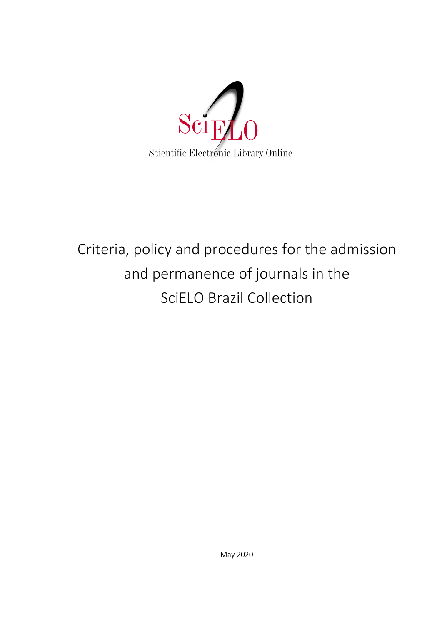

# Criteria, policy and procedures for the admission and permanence of journals in the SciELO Brazil Collection

May 2020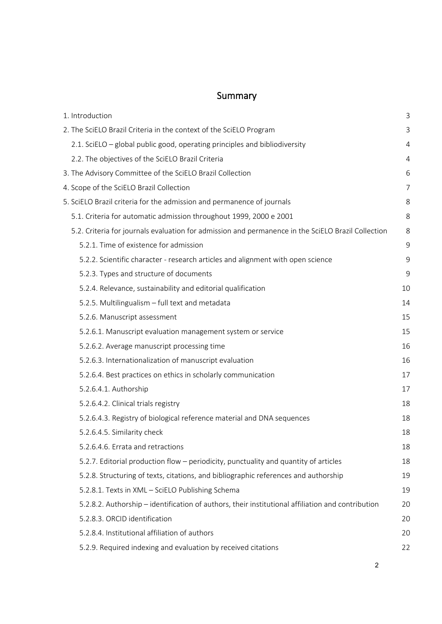# Summary

| 1. Introduction                                                                                    | 3  |
|----------------------------------------------------------------------------------------------------|----|
| 2. The SciELO Brazil Criteria in the context of the SciELO Program                                 | 3  |
| 2.1. SciELO – global public good, operating principles and bibliodiversity                         | 4  |
| 2.2. The objectives of the SciELO Brazil Criteria                                                  | 4  |
| 3. The Advisory Committee of the SciELO Brazil Collection                                          | 6  |
| 4. Scope of the SciELO Brazil Collection                                                           | 7  |
| 5. SciELO Brazil criteria for the admission and permanence of journals                             | 8  |
| 5.1. Criteria for automatic admission throughout 1999, 2000 e 2001                                 | 8  |
| 5.2. Criteria for journals evaluation for admission and permanence in the SciELO Brazil Collection | 8  |
| 5.2.1. Time of existence for admission                                                             | 9  |
| 5.2.2. Scientific character - research articles and alignment with open science                    | 9  |
| 5.2.3. Types and structure of documents                                                            | 9  |
| 5.2.4. Relevance, sustainability and editorial qualification                                       | 10 |
| 5.2.5. Multilingualism - full text and metadata                                                    | 14 |
| 5.2.6. Manuscript assessment                                                                       | 15 |
| 5.2.6.1. Manuscript evaluation management system or service                                        | 15 |
| 5.2.6.2. Average manuscript processing time                                                        | 16 |
| 5.2.6.3. Internationalization of manuscript evaluation                                             | 16 |
| 5.2.6.4. Best practices on ethics in scholarly communication                                       | 17 |
| 5.2.6.4.1. Authorship                                                                              | 17 |
| 5.2.6.4.2. Clinical trials registry                                                                | 18 |
| 5.2.6.4.3. Registry of biological reference material and DNA sequences                             | 18 |
| 5.2.6.4.5. Similarity check                                                                        | 18 |
| 5.2.6.4.6. Errata and retractions                                                                  | 18 |
| 5.2.7. Editorial production flow - periodicity, punctuality and quantity of articles               | 18 |
| 5.2.8. Structuring of texts, citations, and bibliographic references and authorship                | 19 |
| 5.2.8.1. Texts in XML - SciELO Publishing Schema                                                   | 19 |
| 5.2.8.2. Authorship – identification of authors, their institutional affiliation and contribution  | 20 |
| 5.2.8.3. ORCID identification                                                                      | 20 |
| 5.2.8.4. Institutional affiliation of authors                                                      | 20 |
| 5.2.9. Required indexing and evaluation by received citations                                      | 22 |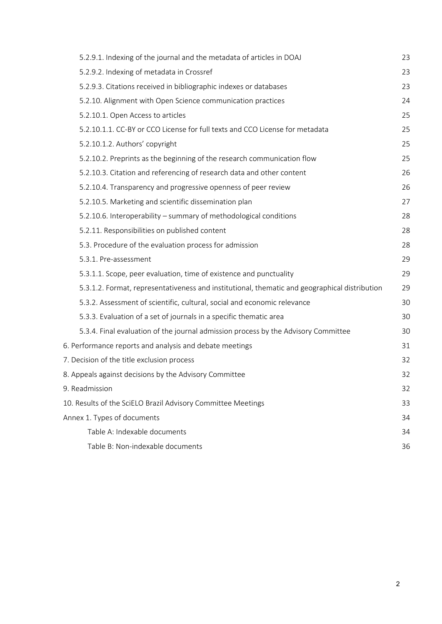| 5.2.9.1. Indexing of the journal and the metadata of articles in DOAJ                         | 23 |
|-----------------------------------------------------------------------------------------------|----|
| 5.2.9.2. Indexing of metadata in Crossref                                                     | 23 |
| 5.2.9.3. Citations received in bibliographic indexes or databases                             | 23 |
| 5.2.10. Alignment with Open Science communication practices                                   | 24 |
| 5.2.10.1. Open Access to articles                                                             | 25 |
| 5.2.10.1.1. CC-BY or CCO License for full texts and CCO License for metadata                  | 25 |
| 5.2.10.1.2. Authors' copyright                                                                | 25 |
| 5.2.10.2. Preprints as the beginning of the research communication flow                       | 25 |
| 5.2.10.3. Citation and referencing of research data and other content                         | 26 |
| 5.2.10.4. Transparency and progressive openness of peer review                                | 26 |
| 5.2.10.5. Marketing and scientific dissemination plan                                         | 27 |
| 5.2.10.6. Interoperability - summary of methodological conditions                             | 28 |
| 5.2.11. Responsibilities on published content                                                 | 28 |
| 5.3. Procedure of the evaluation process for admission                                        | 28 |
| 5.3.1. Pre-assessment                                                                         | 29 |
| 5.3.1.1. Scope, peer evaluation, time of existence and punctuality                            | 29 |
| 5.3.1.2. Format, representativeness and institutional, thematic and geographical distribution | 29 |
| 5.3.2. Assessment of scientific, cultural, social and economic relevance                      | 30 |
| 5.3.3. Evaluation of a set of journals in a specific thematic area                            | 30 |
| 5.3.4. Final evaluation of the journal admission process by the Advisory Committee            | 30 |
| 6. Performance reports and analysis and debate meetings                                       | 31 |
| 7. Decision of the title exclusion process                                                    | 32 |
| 8. Appeals against decisions by the Advisory Committee                                        | 32 |
| 9. Readmission                                                                                | 32 |
| 10. Results of the SciELO Brazil Advisory Committee Meetings                                  | 33 |
| Annex 1. Types of documents                                                                   | 34 |
| Table A: Indexable documents                                                                  | 34 |
| Table B: Non-indexable documents                                                              | 36 |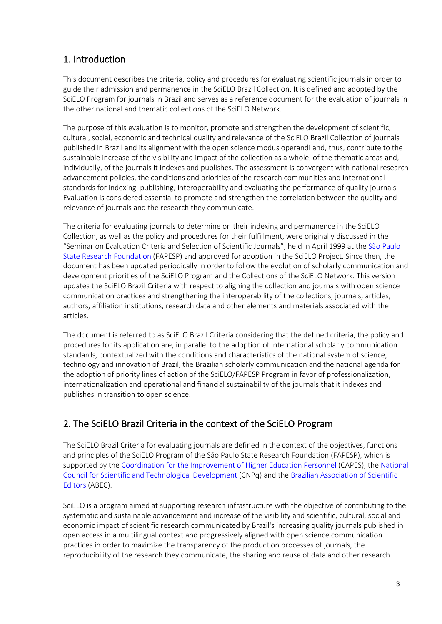# <span id="page-3-0"></span>1. Introduction

This document describes the criteria, policy and procedures for evaluating scientific journals in order to guide their admission and permanence in the SciELO Brazil Collection. It is defined and adopted by the SciELO Program for journals in Brazil and serves as a reference document for the evaluation of journals in the other national and thematic collections of the SciELO Network.

The purpose of this evaluation is to monitor, promote and strengthen the development of scientific, cultural, social, economic and technical quality and relevance of the SciELO Brazil Collection of journals published in Brazil and its alignment with the open science modus operandi and, thus, contribute to the sustainable increase of the visibility and impact of the collection as a whole, of the thematic areas and, individually, of the journals it indexes and publishes. The assessment is convergent with national research advancement policies, the conditions and priorities of the research communities and international standards for indexing, publishing, interoperability and evaluating the performance of quality journals. Evaluation is considered essential to promote and strengthen the correlation between the quality and relevance of journals and the research they communicate.

The criteria for evaluating journals to determine on their indexing and permanence in the SciELO Collection, as well as the policy and procedures for their fulfillment, were originally discussed in the "Seminar on Evaluation Criteria and Selection of Scientific Journals", held in April 1999 at the [São Paulo](http://www.fapesp.br/)  [State Research Foundation](http://www.fapesp.br/) (FAPESP) and approved for adoption in the SciELO Project. Since then, the document has been updated periodically in order to follow the evolution of scholarly communication and development priorities of the SciELO Program and the Collections of the SciELO Network. This version updates the SciELO Brazil Criteria with respect to aligning the collection and journals with open science communication practices and strengthening the interoperability of the collections, journals, articles, authors, affiliation institutions, research data and other elements and materials associated with the articles.

The document is referred to as SciELO Brazil Criteria considering that the defined criteria, the policy and procedures for its application are, in parallel to the adoption of international scholarly communication standards, contextualized with the conditions and characteristics of the national system of science, technology and innovation of Brazil, the Brazilian scholarly communication and the national agenda for the adoption of priority lines of action of the SciELO/FAPESP Program in favor of professionalization, internationalization and operational and financial sustainability of the journals that it indexes and publishes in transition to open science.

# <span id="page-3-1"></span>2. The SciELO Brazil Criteria in the context of the SciELO Program

The SciELO Brazil Criteria for evaluating journals are defined in the context of the objectives, functions and principles of the SciELO Program of the São Paulo State Research Foundation (FAPESP), which is supported by th[e Coordination for the Improvement of Higher Education Personnel](https://www.capes.gov.br/) (CAPES), th[e National](http://www.cnpq.br/)  [Council for Scientific and Technological Development](http://www.cnpq.br/) (CNPq) and th[e Brazilian Association of Scientific](https://www.abecbrasil.org.br/novo/)  [Editors](https://www.abecbrasil.org.br/novo/) (ABEC).

SciELO is a program aimed at supporting research infrastructure with the objective of contributing to the systematic and sustainable advancement and increase of the visibility and scientific, cultural, social and economic impact of scientific research communicated by Brazil's increasing quality journals published in open access in a multilingual context and progressively aligned with open science communication practices in order to maximize the transparency of the production processes of journals, the reproducibility of the research they communicate, the sharing and reuse of data and other research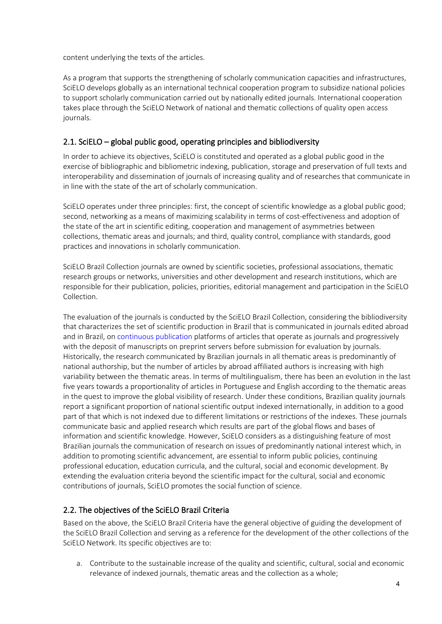content underlying the texts of the articles.

As a program that supports the strengthening of scholarly communication capacities and infrastructures, SciELO develops globally as an international technical cooperation program to subsidize national policies to support scholarly communication carried out by nationally edited journals. International cooperation takes place through the SciELO Network of national and thematic collections of quality open access journals.

# <span id="page-4-0"></span>2.1. SciELO – global public good, operating principles and bibliodiversity

In order to achieve its objectives, SciELO is constituted and operated as a global public good in the exercise of bibliographic and bibliometric indexing, publication, storage and preservation of full texts and interoperability and dissemination of journals of increasing quality and of researches that communicate in in line with the state of the art of scholarly communication.

SciELO operates under three principles: first, the concept of scientific knowledge as a global public good; second, networking as a means of maximizing scalability in terms of cost-effectiveness and adoption of the state of the art in scientific editing, cooperation and management of asymmetries between collections, thematic areas and journals; and third, quality control, compliance with standards, good practices and innovations in scholarly communication.

SciELO Brazil Collection journals are owned by scientific societies, professional associations, thematic research groups or networks, universities and other development and research institutions, which are responsible for their publication, policies, priorities, editorial management and participation in the SciELO Collection.

The evaluation of the journals is conducted by the SciELO Brazil Collection, considering the bibliodiversity that characterizes the set of scientific production in Brazil that is communicated in journals edited abroad and in Brazil, on [continuous publication](https://wp.scielo.org/wp-content/uploads/guia_pc.pdf) platforms of articles that operate as journals and progressively with the deposit of manuscripts on preprint servers before submission for evaluation by journals. Historically, the research communicated by Brazilian journals in all thematic areas is predominantly of national authorship, but the number of articles by abroad affiliated authors is increasing with high variability between the thematic areas. In terms of multilingualism, there has been an evolution in the last five years towards a proportionality of articles in Portuguese and English according to the thematic areas in the quest to improve the global visibility of research. Under these conditions, Brazilian quality journals report a significant proportion of national scientific output indexed internationally, in addition to a good part of that which is not indexed due to different limitations or restrictions of the indexes. These journals communicate basic and applied research which results are part of the global flows and bases of information and scientific knowledge. However, SciELO considers as a distinguishing feature of most Brazilian journals the communication of research on issues of predominantly national interest which, in addition to promoting scientific advancement, are essential to inform public policies, continuing professional education, education curricula, and the cultural, social and economic development. By extending the evaluation criteria beyond the scientific impact for the cultural, social and economic contributions of journals, SciELO promotes the social function of science.

# <span id="page-4-1"></span>2.2. The objectives of the SciELO Brazil Criteria

Based on the above, the SciELO Brazil Criteria have the general objective of guiding the development of the SciELO Brazil Collection and serving as a reference for the development of the other collections of the SciELO Network. Its specific objectives are to:

a. Contribute to the sustainable increase of the quality and scientific, cultural, social and economic relevance of indexed journals, thematic areas and the collection as a whole;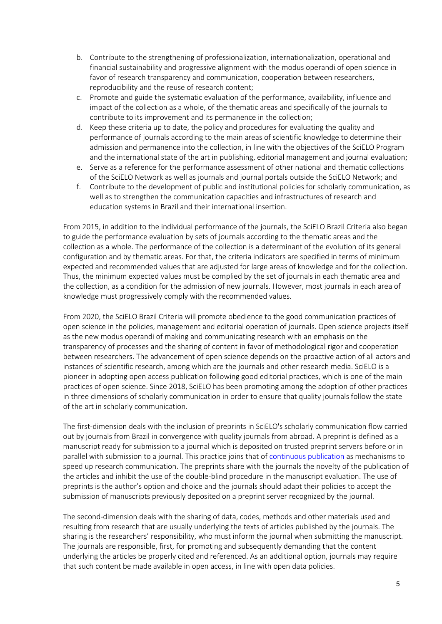- b. Contribute to the strengthening of professionalization, internationalization, operational and financial sustainability and progressive alignment with the modus operandi of open science in favor of research transparency and communication, cooperation between researchers, reproducibility and the reuse of research content;
- c. Promote and guide the systematic evaluation of the performance, availability, influence and impact of the collection as a whole, of the thematic areas and specifically of the journals to contribute to its improvement and its permanence in the collection;
- d. Keep these criteria up to date, the policy and procedures for evaluating the quality and performance of journals according to the main areas of scientific knowledge to determine their admission and permanence into the collection, in line with the objectives of the SciELO Program and the international state of the art in publishing, editorial management and journal evaluation;
- e. Serve as a reference for the performance assessment of other national and thematic collections of the SciELO Network as well as journals and journal portals outside the SciELO Network; and
- f. Contribute to the development of public and institutional policies for scholarly communication, as well as to strengthen the communication capacities and infrastructures of research and education systems in Brazil and their international insertion.

From 2015, in addition to the individual performance of the journals, the SciELO Brazil Criteria also began to guide the performance evaluation by sets of journals according to the thematic areas and the collection as a whole. The performance of the collection is a determinant of the evolution of its general configuration and by thematic areas. For that, the criteria indicators are specified in terms of minimum expected and recommended values that are adjusted for large areas of knowledge and for the collection. Thus, the minimum expected values must be complied by the set of journals in each thematic area and the collection, as a condition for the admission of new journals. However, most journals in each area of knowledge must progressively comply with the recommended values.

From 2020, the SciELO Brazil Criteria will promote obedience to the good communication practices of open science in the policies, management and editorial operation of journals. Open science projects itself as the new modus operandi of making and communicating research with an emphasis on the transparency of processes and the sharing of content in favor of methodological rigor and cooperation between researchers. The advancement of open science depends on the proactive action of all actors and instances of scientific research, among which are the journals and other research media. SciELO is a pioneer in adopting open access publication following good editorial practices, which is one of the main practices of open science. Since 2018, SciELO has been promoting among the adoption of other practices in three dimensions of scholarly communication in order to ensure that quality journals follow the state of the art in scholarly communication.

The first-dimension deals with the inclusion of preprints in SciELO's scholarly communication flow carried out by journals from Brazil in convergence with quality journals from abroad. A preprint is defined as a manuscript ready for submission to a journal which is deposited on trusted preprint servers before or in parallel with submission to a journal. This practice joins that of [continuous publication](https://wp.scielo.org/wp-content/uploads/guia_pc.pdf) as mechanisms to speed up research communication. The preprints share with the journals the novelty of the publication of the articles and inhibit the use of the double-blind procedure in the manuscript evaluation. The use of preprints is the author's option and choice and the journals should adapt their policies to accept the submission of manuscripts previously deposited on a preprint server recognized by the journal.

The second-dimension deals with the sharing of data, codes, methods and other materials used and resulting from research that are usually underlying the texts of articles published by the journals. The sharing is the researchers' responsibility, who must inform the journal when submitting the manuscript. The journals are responsible, first, for promoting and subsequently demanding that the content underlying the articles be properly cited and referenced. As an additional option, journals may require that such content be made available in open access, in line with open data policies.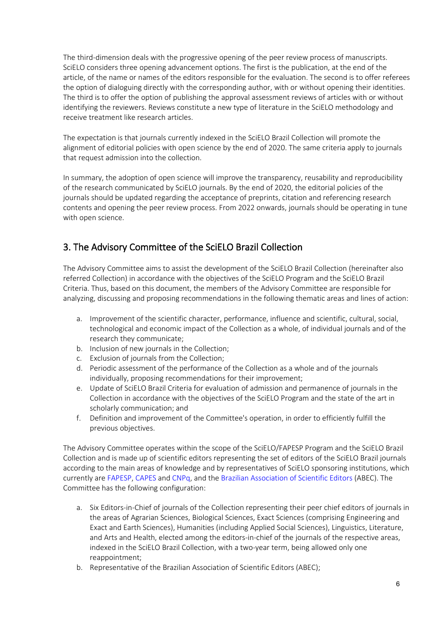The third-dimension deals with the progressive opening of the peer review process of manuscripts. SciELO considers three opening advancement options. The first is the publication, at the end of the article, of the name or names of the editors responsible for the evaluation. The second is to offer referees the option of dialoguing directly with the corresponding author, with or without opening their identities. The third is to offer the option of publishing the approval assessment reviews of articles with or without identifying the reviewers. Reviews constitute a new type of literature in the SciELO methodology and receive treatment like research articles.

The expectation is that journals currently indexed in the SciELO Brazil Collection will promote the alignment of editorial policies with open science by the end of 2020. The same criteria apply to journals that request admission into the collection.

In summary, the adoption of open science will improve the transparency, reusability and reproducibility of the research communicated by SciELO journals. By the end of 2020, the editorial policies of the journals should be updated regarding the acceptance of preprints, citation and referencing research contents and opening the peer review process. From 2022 onwards, journals should be operating in tune with open science.

# <span id="page-6-0"></span>3. The Advisory Committee of the SciELO Brazil Collection

The Advisory Committee aims to assist the development of the SciELO Brazil Collection (hereinafter also referred Collection) in accordance with the objectives of the SciELO Program and the SciELO Brazil Criteria. Thus, based on this document, the members of the Advisory Committee are responsible for analyzing, discussing and proposing recommendations in the following thematic areas and lines of action:

- a. Improvement of the scientific character, performance, influence and scientific, cultural, social, technological and economic impact of the Collection as a whole, of individual journals and of the research they communicate;
- b. Inclusion of new journals in the Collection;
- c. Exclusion of journals from the Collection;
- d. Periodic assessment of the performance of the Collection as a whole and of the journals individually, proposing recommendations for their improvement;
- e. Update of SciELO Brazil Criteria for evaluation of admission and permanence of journals in the Collection in accordance with the objectives of the SciELO Program and the state of the art in scholarly communication; and
- f. Definition and improvement of the Committee's operation, in order to efficiently fulfill the previous objectives.

The Advisory Committee operates within the scope of the SciELO/FAPESP Program and the SciELO Brazil Collection and is made up of scientific editors representing the set of editors of the SciELO Brazil journals according to the main areas of knowledge and by representatives of SciELO sponsoring institutions, which currently ar[e FAPESP,](http://www.fapesp.br/) [CAPES](https://www.capes.gov.br/) and [CNPq,](http://www.cnpq.br/) and the [Brazilian Association of Scientific Editors](https://www.abecbrasil.org.br/novo/) (ABEC). The Committee has the following configuration:

- a. Six Editors-in-Chief of journals of the Collection representing their peer chief editors of journals in the areas of Agrarian Sciences, Biological Sciences, Exact Sciences (comprising Engineering and Exact and Earth Sciences), Humanities (including Applied Social Sciences), Linguistics, Literature, and Arts and Health, elected among the editors-in-chief of the journals of the respective areas, indexed in the SciELO Brazil Collection, with a two-year term, being allowed only one reappointment;
- b. Representative of the Brazilian Association of Scientific Editors (ABEC);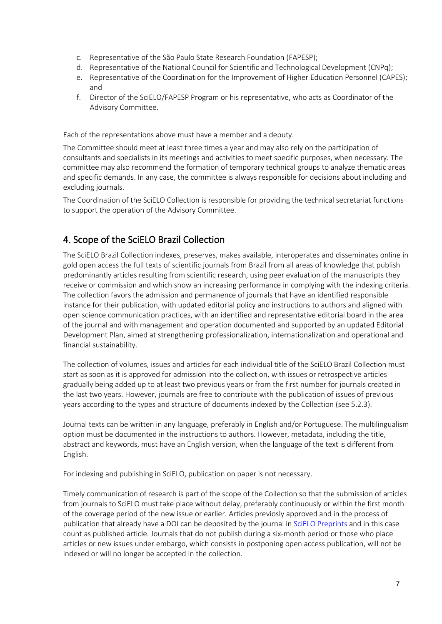- c. Representative of the São Paulo State Research Foundation (FAPESP);
- d. Representative of the National Council for Scientific and Technological Development (CNPq);
- e. Representative of the Coordination for the Improvement of Higher Education Personnel (CAPES); and
- f. Director of the SciELO/FAPESP Program or his representative, who acts as Coordinator of the Advisory Committee.

Each of the representations above must have a member and a deputy.

The Committee should meet at least three times a year and may also rely on the participation of consultants and specialists in its meetings and activities to meet specific purposes, when necessary. The committee may also recommend the formation of temporary technical groups to analyze thematic areas and specific demands. In any case, the committee is always responsible for decisions about including and excluding journals.

<span id="page-7-0"></span>The Coordination of the SciELO Collection is responsible for providing the technical secretariat functions to support the operation of the Advisory Committee.

# 4. Scope of the SciELO Brazil Collection

The SciELO Brazil Collection indexes, preserves, makes available, interoperates and disseminates online in gold open access the full texts of scientific journals from Brazil from all areas of knowledge that publish predominantly articles resulting from scientific research, using peer evaluation of the manuscripts they receive or commission and which show an increasing performance in complying with the indexing criteria. The collection favors the admission and permanence of journals that have an identified responsible instance for their publication, with updated editorial policy and instructions to authors and aligned with open science communication practices, with an identified and representative editorial board in the area of the journal and with management and operation documented and supported by an updated Editorial Development Plan, aimed at strengthening professionalization, internationalization and operational and financial sustainability.

The collection of volumes, issues and articles for each individual title of the SciELO Brazil Collection must start as soon as it is approved for admission into the collection, with issues or retrospective articles gradually being added up to at least two previous years or from the first number for journals created in the last two years. However, journals are free to contribute with the publication of issues of previous years according to the types and structure of documents indexed by the Collection (see 5.2.3).

Journal texts can be written in any language, preferably in English and/or Portuguese. The multilingualism option must be documented in the instructions to authors. However, metadata, including the title, abstract and keywords, must have an English version, when the language of the text is different from English.

For indexing and publishing in SciELO, publication on paper is not necessary.

Timely communication of research is part of the scope of the Collection so that the submission of articles from journals to SciELO must take place without delay, preferably continuously or within the first month of the coverage period of the new issue or earlier. Articles previosly approved and in the process of publication that already have a DOI can be deposited by the journal i[n SciELO Preprints](https://preprints.scielo.org/index.php/scielo) and in this case count as published article. Journals that do not publish during a six-month period or those who place articles or new issues under embargo, which consists in postponing open access publication, will not be indexed or will no longer be accepted in the collection.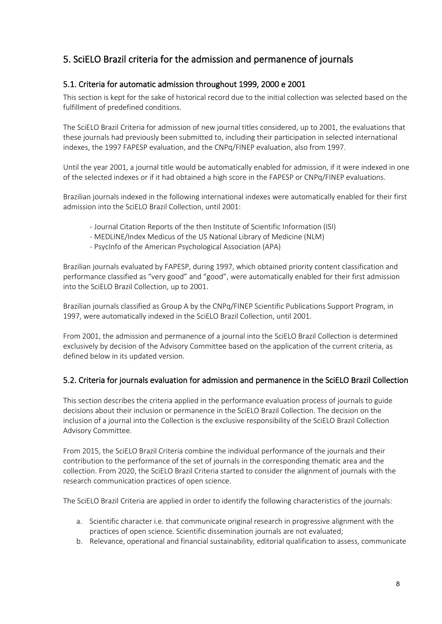# <span id="page-8-0"></span>5. SciELO Brazil criteria for the admission and permanence of journals

# <span id="page-8-1"></span>5.1. Criteria for automatic admission throughout 1999, 2000 e 2001

This section is kept for the sake of historical record due to the initial collection was selected based on the fulfillment of predefined conditions.

The SciELO Brazil Criteria for admission of new journal titles considered, up to 2001, the evaluations that these journals had previously been submitted to, including their participation in selected international indexes, the 1997 FAPESP evaluation, and the CNPq/FINEP evaluation, also from 1997.

Until the year 2001, a journal title would be automatically enabled for admission, if it were indexed in one of the selected indexes or if it had obtained a high score in the FAPESP or CNPq/FINEP evaluations.

Brazilian journals indexed in the following international indexes were automatically enabled for their first admission into the SciELO Brazil Collection, until 2001:

- Journal Citation Reports of the then Institute of Scientific Information (ISI)
- MEDLINE/Index Medicus of the US National Library of Medicine (NLM)
- PsycInfo of the American Psychological Association (APA)

Brazilian journals evaluated by FAPESP, during 1997, which obtained priority content classification and performance classified as "very good" and "good", were automatically enabled for their first admission into the SciELO Brazil Collection, up to 2001.

Brazilian journals classified as Group A by the CNPq/FINEP Scientific Publications Support Program, in 1997, were automatically indexed in the SciELO Brazil Collection, until 2001.

From 2001, the admission and permanence of a journal into the SciELO Brazil Collection is determined exclusively by decision of the Advisory Committee based on the application of the current criteria, as defined below in its updated version.

# <span id="page-8-2"></span>5.2. Criteria for journals evaluation for admission and permanence in the SciELO Brazil Collection

This section describes the criteria applied in the performance evaluation process of journals to guide decisions about their inclusion or permanence in the SciELO Brazil Collection. The decision on the inclusion of a journal into the Collection is the exclusive responsibility of the SciELO Brazil Collection Advisory Committee.

From 2015, the SciELO Brazil Criteria combine the individual performance of the journals and their contribution to the performance of the set of journals in the corresponding thematic area and the collection. From 2020, the SciELO Brazil Criteria started to consider the alignment of journals with the research communication practices of open science.

The SciELO Brazil Criteria are applied in order to identify the following characteristics of the journals:

- a. Scientific character i.e. that communicate original research in progressive alignment with the practices of open science. Scientific dissemination journals are not evaluated;
- b. Relevance, operational and financial sustainability, editorial qualification to assess, communicate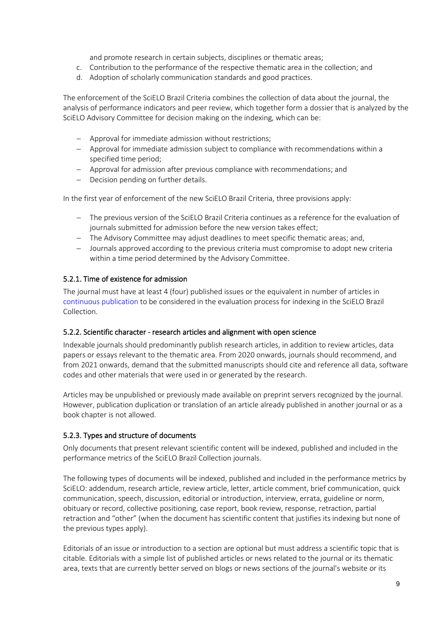and promote research in certain subjects, disciplines or thematic areas;

- c. Contribution to the performance of the respective thematic area in the collection; and
- d. Adoption of scholarly communication standards and good practices.

The enforcement of the SciELO Brazil Criteria combines the collection of data about the journal, the analysis of performance indicators and peer review, which together form a dossier that is analyzed by the SciELO Advisory Committee for decision making on the indexing, which can be:

- − Approval for immediate admission without restrictions;
- − Approval for immediate admission subject to compliance with recommendations within a specified time period;
- − Approval for admission after previous compliance with recommendations; and
- − Decision pending on further details.

In the first year of enforcement of the new SciELO Brazil Criteria, three provisions apply:

- − The previous version of the SciELO Brazil Criteria continues as a reference for the evaluation of journals submitted for admission before the new version takes effect;
- − The Advisory Committee may adjust deadlines to meet specific thematic areas; and,
- − Journals approved according to the previous criteria must compromise to adopt new criteria within a time period determined by the Advisory Committee.

#### <span id="page-9-0"></span>5.2.1. Time of existence for admission

The journal must have at least 4 (four) published issues or the equivalent in number of articles in [continuous publication](https://wp.scielo.org/wp-content/uploads/guia_pc.pdf) to be considered in the evaluation process for indexing in the SciELO Brazil Collection.

#### <span id="page-9-1"></span>5.2.2. Scientific character - research articles and alignment with open science

Indexable journals should predominantly publish research articles, in addition to review articles, data papers or essays relevant to the thematic area. From 2020 onwards, journals should recommend, and from 2021 onwards, demand that the submitted manuscripts should cite and reference all data, software codes and other materials that were used in or generated by the research.

Articles may be unpublished or previously made available on preprint servers recognized by the journal. However, publication duplication or translation of an article already published in another journal or as a book chapter is not allowed.

#### <span id="page-9-2"></span>5.2.3. Types and structure of documents

Only documents that present relevant scientific content will be indexed, published and included in the performance metrics of the SciELO Brazil Collection journals.

The following types of documents will be indexed, published and included in the performance metrics by SciELO: addendum, research article, review article, letter, article comment, brief communication, quick communication, speech, discussion, editorial or introduction, interview, errata, guideline or norm, obituary or record, collective positioning, case report, book review, response, retraction, partial retraction and "other" (when the document has scientific content that justifies its indexing but none of the previous types apply).

Editorials of an issue or introduction to a section are optional but must address a scientific topic that is citable. Editorials with a simple list of published articles or news related to the journal or its thematic area, texts that are currently better served on blogs or news sections of the journal's website or its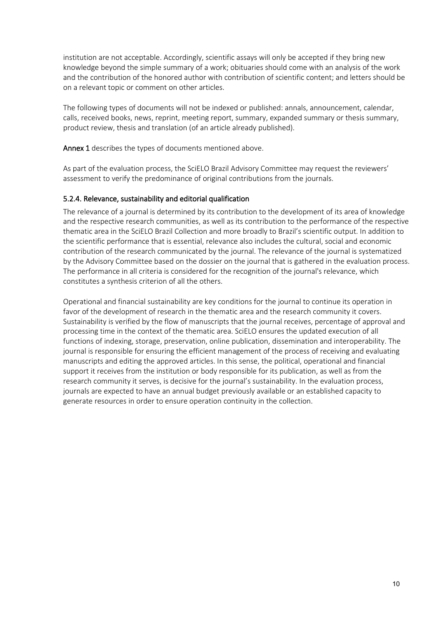institution are not acceptable. Accordingly, scientific assays will only be accepted if they bring new knowledge beyond the simple summary of a work; obituaries should come with an analysis of the work and the contribution of the honored author with contribution of scientific content; and letters should be on a relevant topic or comment on other articles.

The following types of documents will not be indexed or published: annals, announcement, calendar, calls, received books, news, reprint, meeting report, summary, expanded summary or thesis summary, product review, thesis and translation (of an article already published).

Annex 1 describes the types of documents mentioned above.

As part of the evaluation process, the SciELO Brazil Advisory Committee may request the reviewers' assessment to verify the predominance of original contributions from the journals.

#### <span id="page-10-0"></span>5.2.4. Relevance, sustainability and editorial qualification

The relevance of a journal is determined by its contribution to the development of its area of knowledge and the respective research communities, as well as its contribution to the performance of the respective thematic area in the SciELO Brazil Collection and more broadly to Brazil's scientific output. In addition to the scientific performance that is essential, relevance also includes the cultural, social and economic contribution of the research communicated by the journal. The relevance of the journal is systematized by the Advisory Committee based on the dossier on the journal that is gathered in the evaluation process. The performance in all criteria is considered for the recognition of the journal's relevance, which constitutes a synthesis criterion of all the others.

Operational and financial sustainability are key conditions for the journal to continue its operation in favor of the development of research in the thematic area and the research community it covers. Sustainability is verified by the flow of manuscripts that the journal receives, percentage of approval and processing time in the context of the thematic area. SciELO ensures the updated execution of all functions of indexing, storage, preservation, online publication, dissemination and interoperability. The journal is responsible for ensuring the efficient management of the process of receiving and evaluating manuscripts and editing the approved articles. In this sense, the political, operational and financial support it receives from the institution or body responsible for its publication, as well as from the research community it serves, is decisive for the journal's sustainability. In the evaluation process, journals are expected to have an annual budget previously available or an established capacity to generate resources in order to ensure operation continuity in the collection.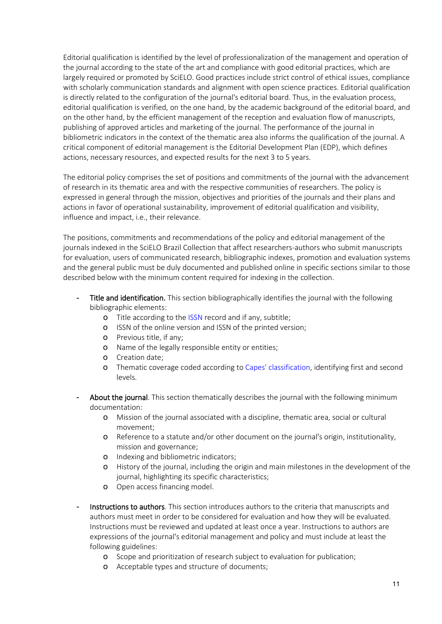Editorial qualification is identified by the level of professionalization of the management and operation of the journal according to the state of the art and compliance with good editorial practices, which are largely required or promoted by SciELO. Good practices include strict control of ethical issues, compliance with scholarly communication standards and alignment with open science practices. Editorial qualification is directly related to the configuration of the journal's editorial board. Thus, in the evaluation process, editorial qualification is verified, on the one hand, by the academic background of the editorial board, and on the other hand, by the efficient management of the reception and evaluation flow of manuscripts, publishing of approved articles and marketing of the journal. The performance of the journal in bibliometric indicators in the context of the thematic area also informs the qualification of the journal. A critical component of editorial management is the Editorial Development Plan (EDP), which defines actions, necessary resources, and expected results for the next 3 to 5 years.

The editorial policy comprises the set of positions and commitments of the journal with the advancement of research in its thematic area and with the respective communities of researchers. The policy is expressed in general through the mission, objectives and priorities of the journals and their plans and actions in favor of operational sustainability, improvement of editorial qualification and visibility, influence and impact, i.e., their relevance.

The positions, commitments and recommendations of the policy and editorial management of the journals indexed in the SciELO Brazil Collection that affect researchers-authors who submit manuscripts for evaluation, users of communicated research, bibliographic indexes, promotion and evaluation systems and the general public must be duly documented and published online in specific sections similar to those described below with the minimum content required for indexing in the collection.

- Title and identification. This section bibliographically identifies the journal with the following bibliographic elements:
	- o Title according to the [ISSN](https://portal.issn.org/) record and if any, subtitle;
	- o ISSN of the online version and ISSN of the printed version;
	- o Previous title, if any;
	- o Name of the legally responsible entity or entities;
	- o Creation date;
	- o Thematic coverage coded according t[o Capes' classification,](https://www.capes.gov.br/) identifying first and second levels.
- About the journal. This section thematically describes the journal with the following minimum documentation:
	- o Mission of the journal associated with a discipline, thematic area, social or cultural movement;
	- o Reference to a statute and/or other document on the journal's origin, institutionality, mission and governance;
	- o Indexing and bibliometric indicators;
	- o History of the journal, including the origin and main milestones in the development of the journal, highlighting its specific characteristics;
	- o Open access financing model.
- Instructions to authors. This section introduces authors to the criteria that manuscripts and authors must meet in order to be considered for evaluation and how they will be evaluated. Instructions must be reviewed and updated at least once a year. Instructions to authors are expressions of the journal's editorial management and policy and must include at least the following guidelines:
	- o Scope and prioritization of research subject to evaluation for publication;
	- o Acceptable types and structure of documents;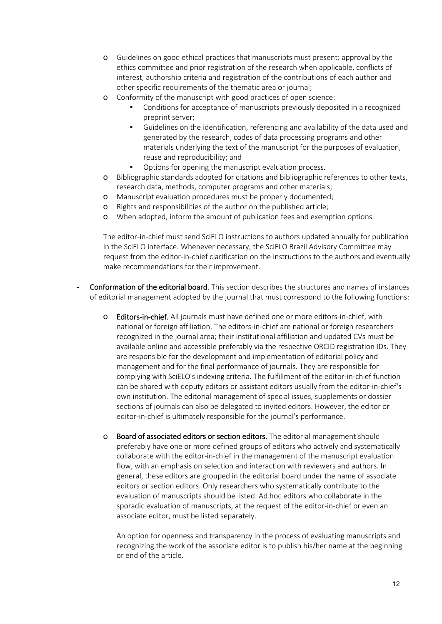- o Guidelines on good ethical practices that manuscripts must present: approval by the ethics committee and prior registration of the research when applicable, conflicts of interest, authorship criteria and registration of the contributions of each author and other specific requirements of the thematic area or journal;
- o Conformity of the manuscript with good practices of open science:
	- Conditions for acceptance of manuscripts previously deposited in a recognized preprint server;
	- Guidelines on the identification, referencing and availability of the data used and generated by the research, codes of data processing programs and other materials underlying the text of the manuscript for the purposes of evaluation, reuse and reproducibility; and
	- Options for opening the manuscript evaluation process.
- o Bibliographic standards adopted for citations and bibliographic references to other texts, research data, methods, computer programs and other materials;
- o Manuscript evaluation procedures must be properly documented;
- o Rights and responsibilities of the author on the published article;
- o When adopted, inform the amount of publication fees and exemption options.

The editor-in-chief must send SciELO instructions to authors updated annually for publication in the SciELO interface. Whenever necessary, the SciELO Brazil Advisory Committee may request from the editor-in-chief clarification on the instructions to the authors and eventually make recommendations for their improvement.

- Conformation of the editorial board. This section describes the structures and names of instances of editorial management adopted by the journal that must correspond to the following functions:
	- o Editors-in-chief. All journals must have defined one or more editors-in-chief, with national or foreign affiliation. The editors-in-chief are national or foreign researchers recognized in the journal area; their institutional affiliation and updated CVs must be available online and accessible preferably via the respective ORCID registration IDs. They are responsible for the development and implementation of editorial policy and management and for the final performance of journals. They are responsible for complying with SciELO's indexing criteria. The fulfillment of the editor-in-chief function can be shared with deputy editors or assistant editors usually from the editor-in-chief's own institution. The editorial management of special issues, supplements or dossier sections of journals can also be delegated to invited editors. However, the editor or editor-in-chief is ultimately responsible for the journal's performance.
	- o Board of associated editors or section editors. The editorial management should preferably have one or more defined groups of editors who actively and systematically collaborate with the editor-in-chief in the management of the manuscript evaluation flow, with an emphasis on selection and interaction with reviewers and authors. In general, these editors are grouped in the editorial board under the name of associate editors or section editors. Only researchers who systematically contribute to the evaluation of manuscripts should be listed. Ad hoc editors who collaborate in the sporadic evaluation of manuscripts, at the request of the editor-in-chief or even an associate editor, must be listed separately.

An option for openness and transparency in the process of evaluating manuscripts and recognizing the work of the associate editor is to publish his/her name at the beginning or end of the article.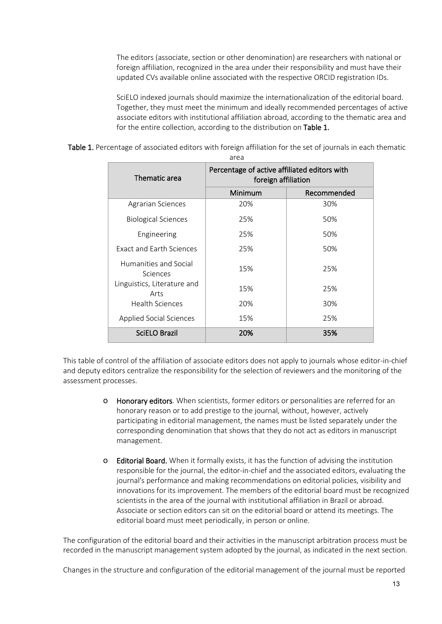The editors (associate, section or other denomination) are researchers with national or foreign affiliation, recognized in the area under their responsibility and must have their updated CVs available online associated with the respective ORCID registration IDs.

SciELO indexed journals should maximize the internationalization of the editorial board. Together, they must meet the minimum and ideally recommended percentages of active associate editors with institutional affiliation abroad, according to the thematic area and for the entire collection, according to the distribution on Table 1.

| area                                                                                 |         |             |
|--------------------------------------------------------------------------------------|---------|-------------|
| Percentage of active affiliated editors with<br>Thematic area<br>foreign affiliation |         |             |
|                                                                                      | Minimum | Recommended |
| <b>Agrarian Sciences</b>                                                             | 20%     | 30%         |
| <b>Biological Sciences</b>                                                           | 25%     | 50%         |
| Engineering                                                                          | 25%     | 50%         |
| <b>Exact and Earth Sciences</b>                                                      | 25%     | 50%         |
| Humanities and Social<br>Sciences                                                    | 15%     | 25%         |
| Linguistics, Literature and<br>Arts                                                  | 15%     | 25%         |
| <b>Health Sciences</b>                                                               | 20%     | 30%         |
| Applied Social Sciences                                                              | 15%     | 25%         |
| SciELO Brazil                                                                        | 20%     | 35%         |

Table 1. Percentage of associated editors with foreign affiliation for the set of journals in each thematic

This table of control of the affiliation of associate editors does not apply to journals whose editor-in-chief and deputy editors centralize the responsibility for the selection of reviewers and the monitoring of the assessment processes.

- o Honorary editors. When scientists, former editors or personalities are referred for an honorary reason or to add prestige to the journal, without, however, actively participating in editorial management, the names must be listed separately under the corresponding denomination that shows that they do not act as editors in manuscript management.
- o Editorial Board. When it formally exists, it has the function of advising the institution responsible for the journal, the editor-in-chief and the associated editors, evaluating the journal's performance and making recommendations on editorial policies, visibility and innovations for its improvement. The members of the editorial board must be recognized scientists in the area of the journal with institutional affiliation in Brazil or abroad. Associate or section editors can sit on the editorial board or attend its meetings. The editorial board must meet periodically, in person or online.

The configuration of the editorial board and their activities in the manuscript arbitration process must be recorded in the manuscript management system adopted by the journal, as indicated in the next section.

Changes in the structure and configuration of the editorial management of the journal must be reported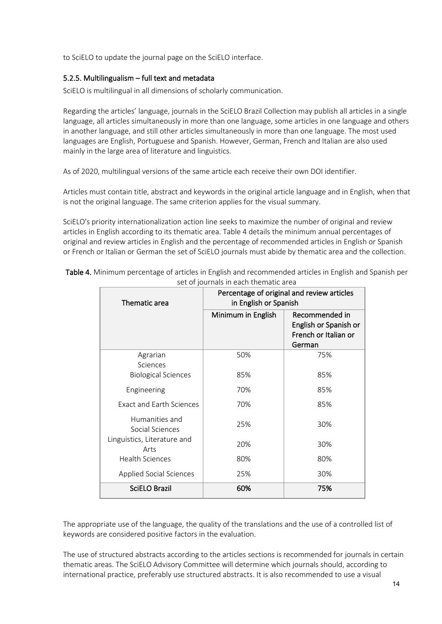<span id="page-14-0"></span>to SciELO to update the journal page on the SciELO interface.

#### 5.2.5. Multilingualism – full text and metadata

SciELO is multilingual in all dimensions of scholarly communication.

Regarding the articles' language, journals in the SciELO Brazil Collection may publish all articles in a single language, all articles simultaneously in more than one language, some articles in one language and others in another language, and still other articles simultaneously in more than one language. The most used languages are English, Portuguese and Spanish. However, German, French and Italian are also used mainly in the large area of literature and linguistics.

As of 2020, multilingual versions of the same article each receive their own DOI identifier.

Articles must contain title, abstract and keywords in the original article language and in English, when that is not the original language. The same criterion applies for the visual summary.

SciELO's priority internationalization action line seeks to maximize the number of original and review articles in English according to its thematic area. Table 4 details the minimum annual percentages of original and review articles in English and the percentage of recommended articles in English or Spanish or French or Italian or German the set of SciELO journals must abide by thematic area and the collection.

| SCL OF JOURNALS IN CACH CHICHIAGO ALCA             |                                                                     |                                                                           |
|----------------------------------------------------|---------------------------------------------------------------------|---------------------------------------------------------------------------|
| Thematic area                                      | Percentage of original and review articles<br>in English or Spanish |                                                                           |
|                                                    | Minimum in English                                                  | Recommended in<br>English or Spanish or<br>French or Italian or<br>German |
| Agrarian<br>Sciences<br><b>Biological Sciences</b> | 50%<br>85%                                                          | 75%<br>85%                                                                |
| Engineering                                        | 70%                                                                 | 85%                                                                       |
| <b>Exact and Earth Sciences</b>                    | 70%                                                                 | 85%                                                                       |
| Humanities and<br>Social Sciences                  | 25%                                                                 | 30%                                                                       |
| Linguistics, Literature and<br>Arts                | 20%                                                                 | 30%                                                                       |
| <b>Health Sciences</b>                             | 80%                                                                 | 80%                                                                       |
| Applied Social Sciences                            | 25%                                                                 | 30%                                                                       |
| <b>SciELO Brazil</b>                               | 60%                                                                 | 75%                                                                       |

Table 4. Minimum percentage of articles in English and recommended articles in English and Spanish per set of journals in each thematic area

The appropriate use of the language, the quality of the translations and the use of a controlled list of keywords are considered positive factors in the evaluation.

The use of structured abstracts according to the articles sections is recommended for journals in certain thematic areas. The SciELO Advisory Committee will determine which journals should, according to international practice, preferably use structured abstracts. It is also recommended to use a visual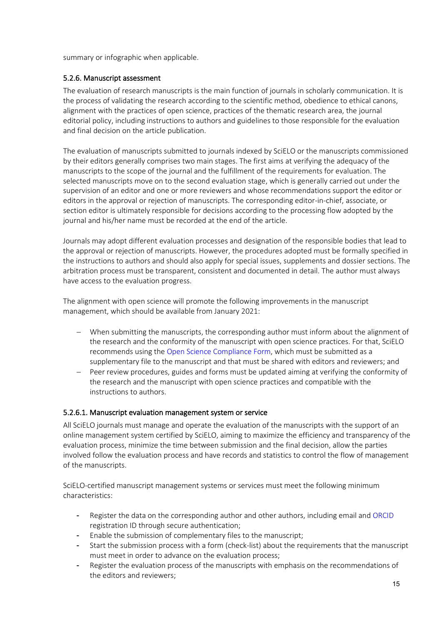summary or infographic when applicable.

#### <span id="page-15-0"></span>5.2.6. Manuscript assessment

The evaluation of research manuscripts is the main function of journals in scholarly communication. It is the process of validating the research according to the scientific method, obedience to ethical canons, alignment with the practices of open science, practices of the thematic research area, the journal editorial policy, including instructions to authors and guidelines to those responsible for the evaluation and final decision on the article publication.

The evaluation of manuscripts submitted to journals indexed by SciELO or the manuscripts commissioned by their editors generally comprises two main stages. The first aims at verifying the adequacy of the manuscripts to the scope of the journal and the fulfillment of the requirements for evaluation. The selected manuscripts move on to the second evaluation stage, which is generally carried out under the supervision of an editor and one or more reviewers and whose recommendations support the editor or editors in the approval or rejection of manuscripts. The corresponding editor-in-chief, associate, or section editor is ultimately responsible for decisions according to the processing flow adopted by the journal and his/her name must be recorded at the end of the article.

Journals may adopt different evaluation processes and designation of the responsible bodies that lead to the approval or rejection of manuscripts. However, the procedures adopted must be formally specified in the instructions to authors and should also apply for special issues, supplements and dossier sections. The arbitration process must be transparent, consistent and documented in detail. The author must always have access to the evaluation progress.

The alignment with open science will promote the following improvements in the manuscript management, which should be available from January 2021:

- When submitting the manuscripts, the corresponding author must inform about the alignment of the research and the conformity of the manuscript with open science practices. For that, SciELO recommends using the Open Science [Compliance Form,](https://wp.scielo.org/wp-content/uploads/Open-Science-Compliance-Form_en.docx) which must be submitted as a supplementary file to the manuscript and that must be shared with editors and reviewers; and
- − Peer review procedures, guides and forms must be updated aiming at verifying the conformity of the research and the manuscript with open science practices and compatible with the instructions to authors.

#### <span id="page-15-1"></span>5.2.6.1. Manuscript evaluation management system or service

All SciELO journals must manage and operate the evaluation of the manuscripts with the support of an online management system certified by SciELO, aiming to maximize the efficiency and transparency of the evaluation process, minimize the time between submission and the final decision, allow the parties involved follow the evaluation process and have records and statistics to control the flow of management of the manuscripts.

SciELO-certified manuscript management systems or services must meet the following minimum characteristics:

- Register the data on the corresponding author and other authors, including email and [ORCID](https://orcid.org/) registration ID through secure authentication;
- Enable the submission of complementary files to the manuscript;
- Start the submission process with a form (check-list) about the requirements that the manuscript must meet in order to advance on the evaluation process;
- Register the evaluation process of the manuscripts with emphasis on the recommendations of the editors and reviewers;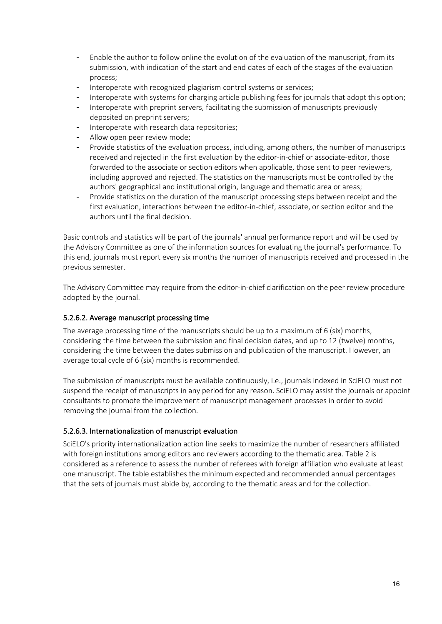- Enable the author to follow online the evolution of the evaluation of the manuscript, from its submission, with indication of the start and end dates of each of the stages of the evaluation process;
- Interoperate with recognized plagiarism control systems or services;
- Interoperate with systems for charging article publishing fees for journals that adopt this option;
- Interoperate with preprint servers, facilitating the submission of manuscripts previously deposited on preprint servers;
- Interoperate with research data repositories;
- Allow open peer review mode;
- Provide statistics of the evaluation process, including, among others, the number of manuscripts received and rejected in the first evaluation by the editor-in-chief or associate-editor, those forwarded to the associate or section editors when applicable, those sent to peer reviewers, including approved and rejected. The statistics on the manuscripts must be controlled by the authors' geographical and institutional origin, language and thematic area or areas;
- Provide statistics on the duration of the manuscript processing steps between receipt and the first evaluation, interactions between the editor-in-chief, associate, or section editor and the authors until the final decision.

Basic controls and statistics will be part of the journals' annual performance report and will be used by the Advisory Committee as one of the information sources for evaluating the journal's performance. To this end, journals must report every six months the number of manuscripts received and processed in the previous semester.

The Advisory Committee may require from the editor-in-chief clarification on the peer review procedure adopted by the journal.

# <span id="page-16-0"></span>5.2.6.2. Average manuscript processing time

The average processing time of the manuscripts should be up to a maximum of 6 (six) months, considering the time between the submission and final decision dates, and up to 12 (twelve) months, considering the time between the dates submission and publication of the manuscript. However, an average total cycle of 6 (six) months is recommended.

The submission of manuscripts must be available continuously, i.e., journals indexed in SciELO must not suspend the receipt of manuscripts in any period for any reason. SciELO may assist the journals or appoint consultants to promote the improvement of manuscript management processes in order to avoid removing the journal from the collection.

# <span id="page-16-1"></span>5.2.6.3. Internationalization of manuscript evaluation

SciELO's priority internationalization action line seeks to maximize the number of researchers affiliated with foreign institutions among editors and reviewers according to the thematic area. Table 2 is considered as a reference to assess the number of referees with foreign affiliation who evaluate at least one manuscript. The table establishes the minimum expected and recommended annual percentages that the sets of journals must abide by, according to the thematic areas and for the collection.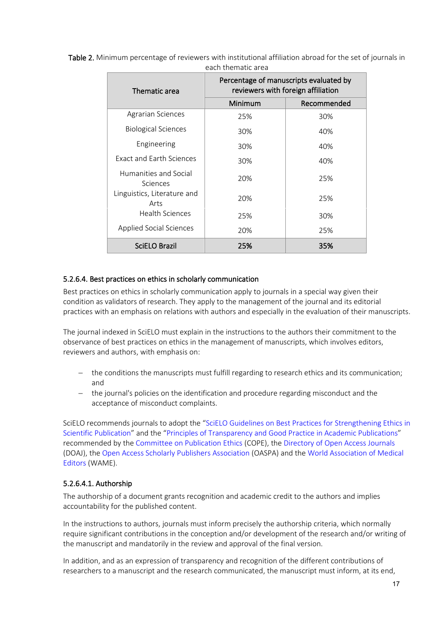| Thematic area                       | Percentage of manuscripts evaluated by<br>reviewers with foreign affiliation |             |  |
|-------------------------------------|------------------------------------------------------------------------------|-------------|--|
|                                     | Minimum                                                                      | Recommended |  |
| Agrarian Sciences                   | 25%                                                                          | 30%         |  |
| <b>Biological Sciences</b>          | 30%                                                                          | 40%         |  |
| Engineering                         | 30%                                                                          | 40%         |  |
| <b>Exact and Farth Sciences</b>     | 30%                                                                          | 40%         |  |
| Humanities and Social<br>Sciences   | 20%                                                                          | 25%         |  |
| Linguistics, Literature and<br>Arts | 20%                                                                          | 25%         |  |
| Health Sciences                     | 25%                                                                          | 30%         |  |
| Applied Social Sciences             | 20%                                                                          | 25%         |  |
| SciELO Brazil                       | 25%                                                                          | 35%         |  |

Table 2. Minimum percentage of reviewers with institutional affiliation abroad for the set of journals in each thematic area

#### <span id="page-17-0"></span>5.2.6.4. Best practices on ethics in scholarly communication

Best practices on ethics in scholarly communication apply to journals in a special way given their condition as validators of research. They apply to the management of the journal and its editorial practices with an emphasis on relations with authors and especially in the evaluation of their manuscripts.

The journal indexed in SciELO must explain in the instructions to the authors their commitment to the observance of best practices on ethics in the management of manuscripts, which involves editors, reviewers and authors, with emphasis on:

- − the conditions the manuscripts must fulfill regarding to research ethics and its communication; and
- − the journal's policies on the identification and procedure regarding misconduct and the acceptance of misconduct complaints.

SciELO recommends journals to adopt the ["SciELO Guidelines on Best Practices for Strengthening Ethics in](https://wp.scielo.org/wp-content/uploads/Guia-de-Boas-Praticas-para-o-Fortalecimento-da-Etica-na-Publicacao-Cientifica.pdf)  [Scientific Publication"](https://wp.scielo.org/wp-content/uploads/Guia-de-Boas-Praticas-para-o-Fortalecimento-da-Etica-na-Publicacao-Cientifica.pdf) and the ["Principles of Transparency and Good Practice in Academic Publications"](https://publicationethics.org/) recommended by the [Committee on Publication Ethics](https://publicationethics.org/) (COPE), the [Directory of Open](https://doaj.org/) Access Journals (DOAJ), th[e Open Access Scholarly Publishers Association](https://oaspa.org/) (OASPA) and the [World Association of Medical](http://www.wame.org/)  [Editors](http://www.wame.org/) (WAME).

#### <span id="page-17-1"></span>5.2.6.4.1. Authorship

The authorship of a document grants recognition and academic credit to the authors and implies accountability for the published content.

In the instructions to authors, journals must inform precisely the authorship criteria, which normally require significant contributions in the conception and/or development of the research and/or writing of the manuscript and mandatorily in the review and approval of the final version.

In addition, and as an expression of transparency and recognition of the different contributions of researchers to a manuscript and the research communicated, the manuscript must inform, at its end,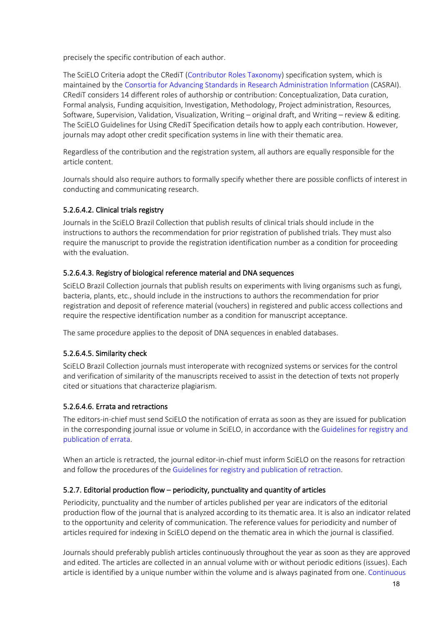precisely the specific contribution of each author.

The SciELO Criteria adopt the CRediT [\(Contributor Roles Taxonomy\)](https://casrai.org/credit/) specification system, which is maintained by the [Consortia for Advancing Standards in Research Administration Information](https://casrai.org/credit/) (CASRAI). CRediT considers 14 different roles of authorship or contribution: Conceptualization, Data curation, Formal analysis, Funding acquisition, Investigation, Methodology, Project administration, Resources, Software, Supervision, Validation, Visualization, Writing – original draft, and Writing – review & editing. The SciELO Guidelines for Using CRediT Specification details how to apply each contribution. However, journals may adopt other credit specification systems in line with their thematic area.

Regardless of the contribution and the registration system, all authors are equally responsible for the article content.

Journals should also require authors to formally specify whether there are possible conflicts of interest in conducting and communicating research.

# <span id="page-18-0"></span>5.2.6.4.2. Clinical trials registry

Journals in the SciELO Brazil Collection that publish results of clinical trials should include in the instructions to authors the recommendation for prior registration of published trials. They must also require the manuscript to provide the registration identification number as a condition for proceeding with the evaluation.

#### <span id="page-18-1"></span>5.2.6.4.3. Registry of biological reference material and DNA sequences

SciELO Brazil Collection journals that publish results on experiments with living organisms such as fungi, bacteria, plants, etc., should include in the instructions to authors the recommendation for prior registration and deposit of reference material (vouchers) in registered and public access collections and require the respective identification number as a condition for manuscript acceptance.

The same procedure applies to the deposit of DNA sequences in enabled databases.

#### <span id="page-18-2"></span>5.2.6.4.5. Similarity check

SciELO Brazil Collection journals must interoperate with recognized systems or services for the control and verification of similarity of the manuscripts received to assist in the detection of texts not properly cited or situations that characterize plagiarism.

#### <span id="page-18-3"></span>5.2.6.4.6. Errata and retractions

The editors-in-chief must send SciELO the notification of errata as soon as they are issued for publication in the corresponding journal issue or volume in SciELO, in accordance with the [Guidelines for registry and](https://wp.scielo.org/wp-content/uploads/guia_errata.pdf)  [publication of errata.](https://wp.scielo.org/wp-content/uploads/guia_errata.pdf)

When an article is retracted, the journal editor-in-chief must inform SciELO on the reasons for retraction and follow the procedures of th[e Guidelines for registry and publication](https://wp.scielo.org/wp-content/uploads/guia_retratacao.pdf) of retraction.

#### <span id="page-18-4"></span>5.2.7. Editorial production flow – periodicity, punctuality and quantity of articles

Periodicity, punctuality and the number of articles published per year are indicators of the editorial production flow of the journal that is analyzed according to its thematic area. It is also an indicator related to the opportunity and celerity of communication. The reference values for periodicity and number of articles required for indexing in SciELO depend on the thematic area in which the journal is classified.

Journals should preferably publish articles continuously throughout the year as soon as they are approved and edited. The articles are collected in an annual volume with or without periodic editions (issues). Each article is identified by a unique number within the volume and is always paginated from one. [Continuous](https://wp.scielo.org/wp-content/uploads/guia_pc.pdf)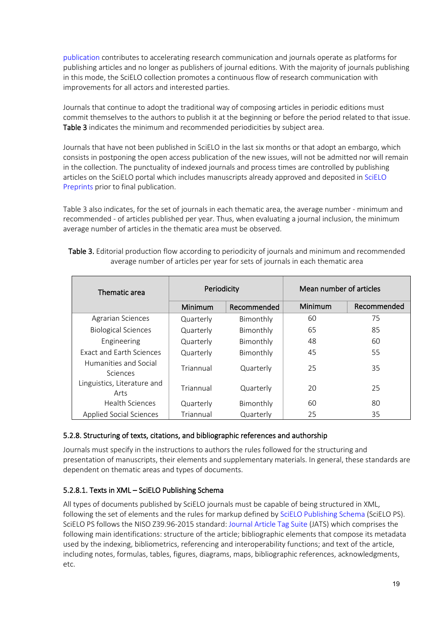[publication](https://wp.scielo.org/wp-content/uploads/guia_pc.pdf) contributes to accelerating research communication and journals operate as platforms for publishing articles and no longer as publishers of journal editions. With the majority of journals publishing in this mode, the SciELO collection promotes a continuous flow of research communication with improvements for all actors and interested parties.

Journals that continue to adopt the traditional way of composing articles in periodic editions must commit themselves to the authors to publish it at the beginning or before the period related to that issue. Table 3 indicates the minimum and recommended periodicities by subject area.

Journals that have not been published in SciELO in the last six months or that adopt an embargo, which consists in postponing the open access publication of the new issues, will not be admitted nor will remain in the collection. The punctuality of indexed journals and process times are controlled by publishing articles on the SciELO portal which includes manuscripts already approved and deposited in [SciELO](https://preprints.scielo.org/index.php/scielo)  [Preprints](https://preprints.scielo.org/index.php/scielo) prior to final publication.

Table 3 also indicates, for the set of journals in each thematic area, the average number - minimum and recommended - of articles published per year. Thus, when evaluating a journal inclusion, the minimum average number of articles in the thematic area must be observed.

| Thematic area                       | Periodicity |             | Mean number of articles |             |
|-------------------------------------|-------------|-------------|-------------------------|-------------|
|                                     | Minimum     | Recommended | Minimum                 | Recommended |
| <b>Agrarian Sciences</b>            | Quarterly   | Bimonthly   | 60                      | 75          |
| <b>Biological Sciences</b>          | Quarterly   | Bimonthly   | 65                      | 85          |
| Engineering                         | Quarterly   | Bimonthly   | 48                      | 60          |
| <b>Exact and Farth Sciences</b>     | Quarterly   | Bimonthly   | 45                      | 55          |
| Humanities and Social<br>Sciences   | Triannual   | Quarterly   | 25                      | 35          |
| Linguistics, Literature and<br>Arts | Triannual   | Quarterly   | 20                      | 25          |
| <b>Health Sciences</b>              | Quarterly   | Bimonthly   | 60                      | 80          |
| <b>Applied Social Sciences</b>      | Triannual   | Quarterly   | 25                      | 35          |

Table 3. Editorial production flow according to periodicity of journals and minimum and recommended average number of articles per year for sets of journals in each thematic area

# <span id="page-19-0"></span>5.2.8. Structuring of texts, citations, and bibliographic references and authorship

Journals must specify in the instructions to authors the rules followed for the structuring and presentation of manuscripts, their elements and supplementary materials. In general, these standards are dependent on thematic areas and types of documents.

# <span id="page-19-1"></span>5.2.8.1. Texts in XML – SciELO Publishing Schema

All types of documents published by SciELO journals must be capable of being structured in XML, following the set of elements and the rules for markup defined b[y SciELO Publishing Schema](https://scielo.readthedocs.io/projects/scielo-publishing-schema/pt_BR/latest/) (SciELO PS). SciELO PS follows the NISO Z39.96-2015 standard[: Journal Article Tag Suite](https://jats.nlm.nih.gov/publishing/tag-library/1.1/) (JATS) which comprises the following main identifications: structure of the article; bibliographic elements that compose its metadata used by the indexing, bibliometrics, referencing and interoperability functions; and text of the article, including notes, formulas, tables, figures, diagrams, maps, bibliographic references, acknowledgments, etc.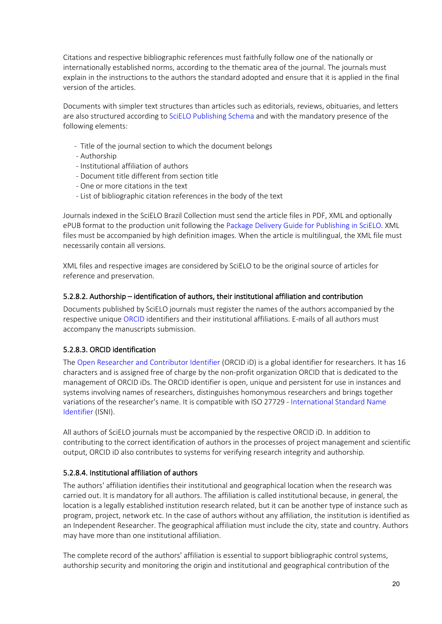Citations and respective bibliographic references must faithfully follow one of the nationally or internationally established norms, according to the thematic area of the journal. The journals must explain in the instructions to the authors the standard adopted and ensure that it is applied in the final version of the articles.

Documents with simpler text structures than articles such as editorials, reviews, obituaries, and letters are also structured according to [SciELO Publishing Schema](https://scielo.readthedocs.io/projects/scielo-publishing-schema/pt_BR/latest/) and with the mandatory presence of the following elements:

- Title of the journal section to which the document belongs
- Authorship
- Institutional affiliation of authors
- Document title different from section title
- One or more citations in the text
- List of bibliographic citation references in the body of the text

Journals indexed in the SciELO Brazil Collection must send the article files in PDF, XML and optionally ePUB format to the production unit following the [Package Delivery Guide for Publishing](https://wp.scielo.org/wp-content/uploads/guia_entrega_pacotes.pdf) in SciELO. XML files must be accompanied by high definition images. When the article is multilingual, the XML file must necessarily contain all versions.

XML files and respective images are considered by SciELO to be the original source of articles for reference and preservation.

#### <span id="page-20-0"></span>5.2.8.2. Authorship – identification of authors, their institutional affiliation and contribution

Documents published by SciELO journals must register the names of the authors accompanied by the respective unique [ORCID](https://orcid.org/) identifiers and their institutional affiliations. E-mails of all authors must accompany the manuscripts submission.

# <span id="page-20-1"></span>5.2.8.3. ORCID identification

The [Open Researcher and Contributor Identifier](https://orcid.org/) (ORCID iD) is a global identifier for researchers. It has 16 characters and is assigned free of charge by the non-profit organization ORCID that is dedicated to the management of ORCID iDs. The ORCID identifier is open, unique and persistent for use in instances and systems involving names of researchers, distinguishes homonymous researchers and brings together variations of the researcher's name. It is compatible with ISO 27729 - [International Standard Name](http://www.isni.org/)  [Identifier](http://www.isni.org/) (ISNI).

All authors of SciELO journals must be accompanied by the respective ORCID iD. In addition to contributing to the correct identification of authors in the processes of project management and scientific output, ORCID iD also contributes to systems for verifying research integrity and authorship.

# <span id="page-20-2"></span>5.2.8.4. Institutional affiliation of authors

The authors' affiliation identifies their institutional and geographical location when the research was carried out. It is mandatory for all authors. The affiliation is called institutional because, in general, the location is a legally established institution research related, but it can be another type of instance such as program, project, network etc. In the case of authors without any affiliation, the institution is identified as an Independent Researcher. The geographical affiliation must include the city, state and country. Authors may have more than one institutional affiliation.

The complete record of the authors' affiliation is essential to support bibliographic control systems, authorship security and monitoring the origin and institutional and geographical contribution of the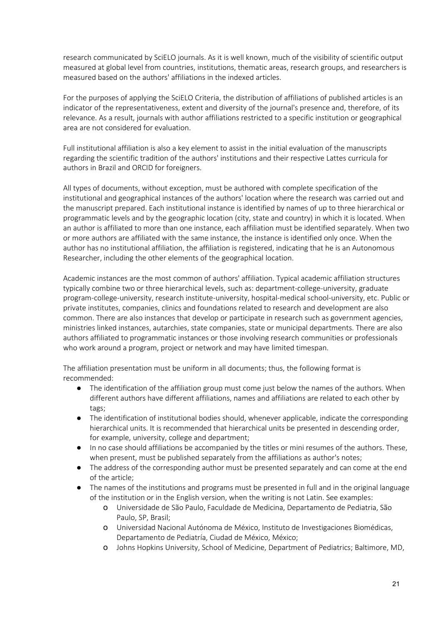research communicated by SciELO journals. As it is well known, much of the visibility of scientific output measured at global level from countries, institutions, thematic areas, research groups, and researchers is measured based on the authors' affiliations in the indexed articles.

For the purposes of applying the SciELO Criteria, the distribution of affiliations of published articles is an indicator of the representativeness, extent and diversity of the journal's presence and, therefore, of its relevance. As a result, journals with author affiliations restricted to a specific institution or geographical area are not considered for evaluation.

Full institutional affiliation is also a key element to assist in the initial evaluation of the manuscripts regarding the scientific tradition of the authors' institutions and their respective Lattes curricula for authors in Brazil and ORCID for foreigners.

All types of documents, without exception, must be authored with complete specification of the institutional and geographical instances of the authors' location where the research was carried out and the manuscript prepared. Each institutional instance is identified by names of up to three hierarchical or programmatic levels and by the geographic location (city, state and country) in which it is located. When an author is affiliated to more than one instance, each affiliation must be identified separately. When two or more authors are affiliated with the same instance, the instance is identified only once. When the author has no institutional affiliation, the affiliation is registered, indicating that he is an Autonomous Researcher, including the other elements of the geographical location.

Academic instances are the most common of authors' affiliation. Typical academic affiliation structures typically combine two or three hierarchical levels, such as: department-college-university, graduate program-college-university, research institute-university, hospital-medical school-university, etc. Public or private institutes, companies, clinics and foundations related to research and development are also common. There are also instances that develop or participate in research such as government agencies, ministries linked instances, autarchies, state companies, state or municipal departments. There are also authors affiliated to programmatic instances or those involving research communities or professionals who work around a program, project or network and may have limited timespan.

The affiliation presentation must be uniform in all documents; thus, the following format is recommended:

- The identification of the affiliation group must come just below the names of the authors. When different authors have different affiliations, names and affiliations are related to each other by tags;
- The identification of institutional bodies should, whenever applicable, indicate the corresponding hierarchical units. It is recommended that hierarchical units be presented in descending order, for example, university, college and department;
- In no case should affiliations be accompanied by the titles or mini resumes of the authors. These, when present, must be published separately from the affiliations as author's notes;
- The address of the corresponding author must be presented separately and can come at the end of the article;
- The names of the institutions and programs must be presented in full and in the original language of the institution or in the English version, when the writing is not Latin. See examples:
	- o Universidade de São Paulo, Faculdade de Medicina, Departamento de Pediatria, São Paulo, SP, Brasil;
	- o Universidad Nacional Autónoma de México, Instituto de Investigaciones Biomédicas, Departamento de Pediatría, Ciudad de México, México;
	- o Johns Hopkins University, School of Medicine, Department of Pediatrics; Baltimore, MD,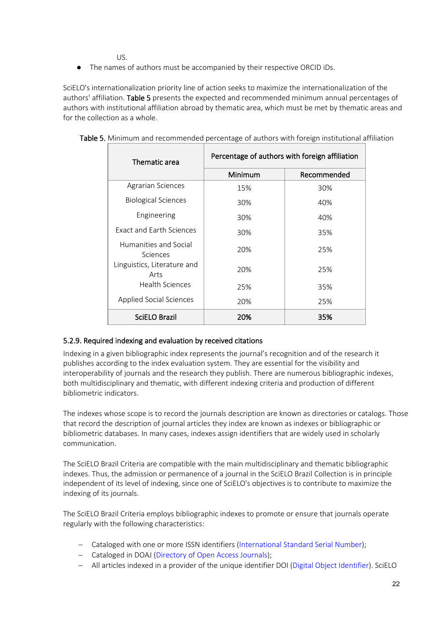US.

● The names of authors must be accompanied by their respective ORCID iDs.

SciELO's internationalization priority line of action seeks to maximize the internationalization of the authors' affiliation. Table 5 presents the expected and recommended minimum annual percentages of authors with institutional affiliation abroad by thematic area, which must be met by thematic areas and for the collection as a whole.

| Thematic area                       | Percentage of authors with foreign affiliation |             |  |
|-------------------------------------|------------------------------------------------|-------------|--|
|                                     | Minimum                                        | Recommended |  |
| Agrarian Sciences                   | 15%                                            | 30%         |  |
| <b>Biological Sciences</b>          | 30%                                            | 40%         |  |
| Engineering                         | 30%                                            | 40%         |  |
| <b>Exact and Farth Sciences</b>     | 30%                                            | 35%         |  |
| Humanities and Social<br>Sciences   | 20%                                            | 25%         |  |
| Linguistics, Literature and<br>Arts | 20%                                            | 25%         |  |
| Health Sciences                     | 25%                                            | 35%         |  |
| <b>Applied Social Sciences</b>      | 20%                                            | 25%         |  |
| SciELO Brazil                       | 20%                                            | 35%         |  |

Table 5. Minimum and recommended percentage of authors with foreign institutional affiliation

#### <span id="page-22-0"></span>5.2.9. Required indexing and evaluation by received citations

Indexing in a given bibliographic index represents the journal's recognition and of the research it publishes according to the index evaluation system. They are essential for the visibility and interoperability of journals and the research they publish. There are numerous bibliographic indexes, both multidisciplinary and thematic, with different indexing criteria and production of different bibliometric indicators.

The indexes whose scope is to record the journals description are known as directories or catalogs. Those that record the description of journal articles they index are known as indexes or bibliographic or bibliometric databases. In many cases, indexes assign identifiers that are widely used in scholarly communication.

The SciELO Brazil Criteria are compatible with the main multidisciplinary and thematic bibliographic indexes. Thus, the admission or permanence of a journal in the SciELO Brazil Collection is in principle independent of its level of indexing, since one of SciELO's objectives is to contribute to maximize the indexing of its journals.

The SciELO Brazil Criteria employs bibliographic indexes to promote or ensure that journals operate regularly with the following characteristics:

- − Cataloged with one or more ISSN identifiers [\(International Standard Serial Number\)](https://portal.issn.org/);
- − Cataloged in DOAJ [\(Directory of Open Access Journals\)](https://doaj.org/);
- − All articles indexed in a provider of the unique identifier DOI [\(Digital Object Identifier\)](https://www.doi.org/). SciELO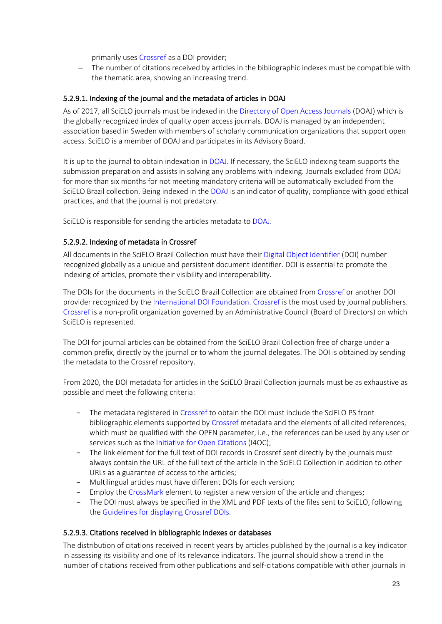primarily use[s Crossref](https://www.crossref.org/) as a DOI provider;

− The number of citations received by articles in the bibliographic indexes must be compatible with the thematic area, showing an increasing trend.

#### <span id="page-23-0"></span>5.2.9.1. Indexing of the journal and the metadata of articles in DOAJ

As of 2017, all SciELO journals must be indexed in the [Directory of Open Access Journals](https://doaj.org/) (DOAJ) which is the globally recognized index of quality open access journals. DOAJ is managed by an independent association based in Sweden with members of scholarly communication organizations that support open access. SciELO is a member of DOAJ and participates in its Advisory Board.

It is up to the journal to obtain indexation in [DOAJ.](https://doaj.org/) If necessary, the SciELO indexing team supports the submission preparation and assists in solving any problems with indexing. Journals excluded from DOAJ for more than six months for not meeting mandatory criteria will be automatically excluded from the SciELO Brazil collection. Being indexed in the [DOAJ](https://doaj.org/) is an indicator of quality, compliance with good ethical practices, and that the journal is not predatory.

SciELO is responsible for sending the articles metadata to [DOAJ.](https://doaj.org/)

#### <span id="page-23-1"></span>5.2.9.2. Indexing of metadata in Crossref

All documents in the SciELO Brazil Collection must have their [Digital Object Identifier](https://www.doi.org/) (DOI) number recognized globally as a unique and persistent document identifier. DOI is essential to promote the indexing of articles, promote their visibility and interoperability.

The DOIs for the documents in the SciELO Brazil Collection are obtained fro[m Crossref](https://www.crossref.org/) or another DOI provider recognized by the [International DOI Foundation.](https://www.doi.org/) [Crossref](https://www.crossref.org/) is the most used by journal publishers. [Crossref](https://www.crossref.org/) is a non-profit organization governed by an Administrative Council (Board of Directors) on which SciELO is represented.

The DOI for journal articles can be obtained from the SciELO Brazil Collection free of charge under a common prefix, directly by the journal or to whom the journal delegates. The DOI is obtained by sending the metadata to the Crossref repository.

From 2020, the DOI metadata for articles in the SciELO Brazil Collection journals must be as exhaustive as possible and meet the following criteria:

- The metadata registered in [Crossref](https://www.crossref.org/) to obtain the DOI must include the SciELO PS front bibliographic elements supported by [Crossref](https://www.crossref.org/) metadata and the elements of all cited references, which must be qualified with the OPEN parameter, i.e., the references can be used by any user or services such as the [Initiative for Open Citations](https://i4oc.org/) (I4OC);
- − The link element for the full text of DOI records in Crossref sent directly by the journals must always contain the URL of the full text of the article in the SciELO Collection in addition to other URLs as a guarantee of access to the articles;
- − Multilingual articles must have different DOIs for each version;
- − Employ the [CrossMark](https://www.crossref.org/services/crossmark/) element to register a new version of the article and changes;
- − The DOI must always be specified in the XML and PDF texts of the files sent to SciELO, following the [Guidelines for displaying Crossref DOIs.](https://wp.scielo.org/wp-content/uploads/Diretriz_DOI_PT.pdf)

#### <span id="page-23-2"></span>5.2.9.3. Citations received in bibliographic indexes or databases

The distribution of citations received in recent years by articles published by the journal is a key indicator in assessing its visibility and one of its relevance indicators. The journal should show a trend in the number of citations received from other publications and self-citations compatible with other journals in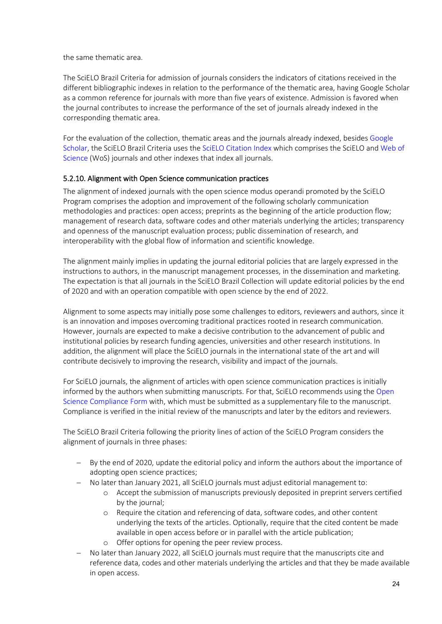the same thematic area.

The SciELO Brazil Criteria for admission of journals considers the indicators of citations received in the different bibliographic indexes in relation to the performance of the thematic area, having Google Scholar as a common reference for journals with more than five years of existence. Admission is favored when the journal contributes to increase the performance of the set of journals already indexed in the corresponding thematic area.

For the evaluation of the collection, thematic areas and the journals already indexed, besides [Google](https://scholar.google.com/citations?view_op=top_venues&hl=pt-BR)  [Scholar,](https://scholar.google.com/citations?view_op=top_venues&hl=pt-BR) the SciELO Brazil Criteria uses th[e SciELO Citation Index](http://wokinfo.com/products_tools/multidisciplinary/scielo/) which comprises the SciELO an[d Web of](http://login.webofknowledge.com/error/Error?Error=IPError&PathInfo=%2F&RouterURL=http%3A%2F%2Fwww.webofknowledge.com%2F&Domain=.webofknowledge.com&Src=IP&Alias=WOK5)  [Science](http://login.webofknowledge.com/error/Error?Error=IPError&PathInfo=%2F&RouterURL=http%3A%2F%2Fwww.webofknowledge.com%2F&Domain=.webofknowledge.com&Src=IP&Alias=WOK5) (WoS) journals and other indexes that index all journals.

#### <span id="page-24-0"></span>5.2.10. Alignment with Open Science communication practices

The alignment of indexed journals with the open science modus operandi promoted by the SciELO Program comprises the adoption and improvement of the following scholarly communication methodologies and practices: open access; preprints as the beginning of the article production flow; management of research data, software codes and other materials underlying the articles; transparency and openness of the manuscript evaluation process; public dissemination of research, and interoperability with the global flow of information and scientific knowledge.

The alignment mainly implies in updating the journal editorial policies that are largely expressed in the instructions to authors, in the manuscript management processes, in the dissemination and marketing. The expectation is that all journals in the SciELO Brazil Collection will update editorial policies by the end of 2020 and with an operation compatible with open science by the end of 2022.

Alignment to some aspects may initially pose some challenges to editors, reviewers and authors, since it is an innovation and imposes overcoming traditional practices rooted in research communication. However, journals are expected to make a decisive contribution to the advancement of public and institutional policies by research funding agencies, universities and other research institutions. In addition, the alignment will place the SciELO journals in the international state of the art and will contribute decisively to improving the research, visibility and impact of the journals.

For SciELO journals, the alignment of articles with open science communication practices is initially informed by the authors when submitting manuscripts. For that, SciELO recommends using the [Open](https://wp.scielo.org/wp-content/uploads/Open-Science-Compliance-Form_en.docx)  [Science Compliance](https://wp.scielo.org/wp-content/uploads/Open-Science-Compliance-Form_en.docx) Form with, which must be submitted as a supplementary file to the manuscript. Compliance is verified in the initial review of the manuscripts and later by the editors and reviewers.

The SciELO Brazil Criteria following the priority lines of action of the SciELO Program considers the alignment of journals in three phases:

- − By the end of 2020, update the editorial policy and inform the authors about the importance of adopting open science practices;
- − No later than January 2021, all SciELO journals must adjust editorial management to:
	- o Accept the submission of manuscripts previously deposited in preprint servers certified by the journal;
	- o Require the citation and referencing of data, software codes, and other content underlying the texts of the articles. Optionally, require that the cited content be made available in open access before or in parallel with the article publication;
	- o Offer options for opening the peer review process.
- − No later than January 2022, all SciELO journals must require that the manuscripts cite and reference data, codes and other materials underlying the articles and that they be made available in open access.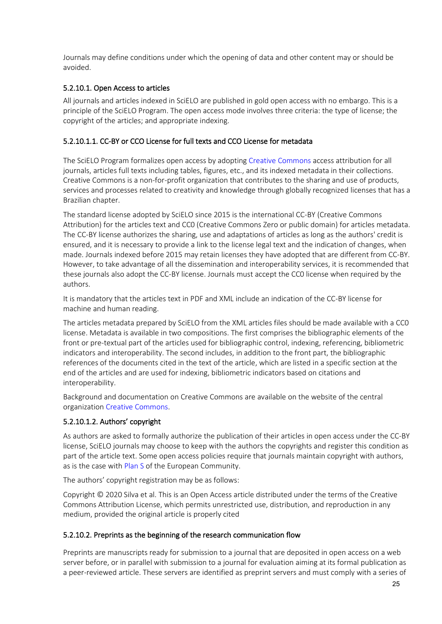Journals may define conditions under which the opening of data and other content may or should be avoided.

### <span id="page-25-0"></span>5.2.10.1. Open Access to articles

All journals and articles indexed in SciELO are published in gold open access with no embargo. This is a principle of the SciELO Program. The open access mode involves three criteria: the type of license; the copyright of the articles; and appropriate indexing.

#### <span id="page-25-1"></span>5.2.10.1.1. CC-BY or CCO License for full texts and CCO License for metadata

The SciELO Program formalizes open access by adopting [Creative Commons](https://creativecommons.org/) access attribution for all journals, articles full texts including tables, figures, etc., and its indexed metadata in their collections. Creative Commons is a non-for-profit organization that contributes to the sharing and use of products, services and processes related to creativity and knowledge through globally recognized licenses that has a Brazilian chapter.

The standard license adopted by SciELO since 2015 is the international CC-BY (Creative Commons Attribution) for the articles text and CC0 (Creative Commons Zero or public domain) for articles metadata. The CC-BY license authorizes the sharing, use and adaptations of articles as long as the authors' credit is ensured, and it is necessary to provide a link to the license legal text and the indication of changes, when made. Journals indexed before 2015 may retain licenses they have adopted that are different from CC-BY. However, to take advantage of all the dissemination and interoperability services, it is recommended that these journals also adopt the CC-BY license. Journals must accept the CC0 license when required by the authors.

It is mandatory that the articles text in PDF and XML include an indication of the CC-BY license for machine and human reading.

The articles metadata prepared by SciELO from the XML articles files should be made available with a CC0 license. Metadata is available in two compositions. The first comprises the bibliographic elements of the front or pre-textual part of the articles used for bibliographic control, indexing, referencing, bibliometric indicators and interoperability. The second includes, in addition to the front part, the bibliographic references of the documents cited in the text of the article, which are listed in a specific section at the end of the articles and are used for indexing, bibliometric indicators based on citations and interoperability.

Background and documentation on Creative Commons are available on the website of the central organizatio[n Creative Commons.](https://creativecommons.org/)

# <span id="page-25-2"></span>5.2.10.1.2. Authors' copyright

As authors are asked to formally authorize the publication of their articles in open access under the CC-BY license, SciELO journals may choose to keep with the authors the copyrights and register this condition as part of the article text. Some open access policies require that journals maintain copyright with authors, as is the case with [Plan S](https://www.coalition-s.org/) of the European Community.

The authors' copyright registration may be as follows:

Copyright © 2020 Silva et al. This is an Open Access article distributed under the terms of the Creative Commons Attribution License, which permits unrestricted use, distribution, and reproduction in any medium, provided the original article is properly cited

#### <span id="page-25-3"></span>5.2.10.2. Preprints as the beginning of the research communication flow

Preprints are manuscripts ready for submission to a journal that are deposited in open access on a web server before, or in parallel with submission to a journal for evaluation aiming at its formal publication as a peer-reviewed article. These servers are identified as preprint servers and must comply with a series of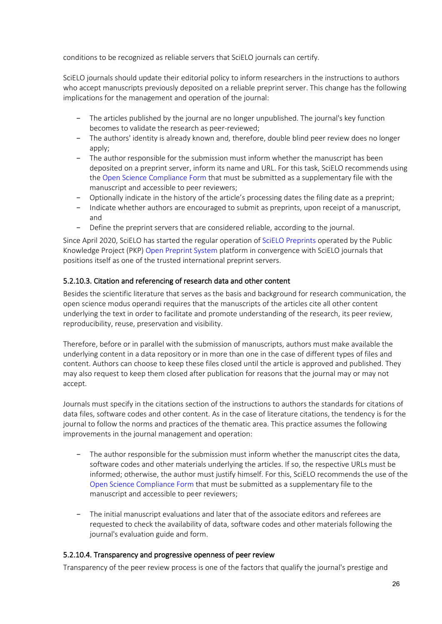conditions to be recognized as reliable servers that SciELO journals can certify.

SciELO journals should update their editorial policy to inform researchers in the instructions to authors who accept manuscripts previously deposited on a reliable preprint server. This change has the following implications for the management and operation of the journal:

- − The articles published by the journal are no longer unpublished. The journal's key function becomes to validate the research as peer-reviewed;
- − The authors' identity is already known and, therefore, double blind peer review does no longer apply;
- The author responsible for the submission must inform whether the manuscript has been deposited on a preprint server, inform its name and URL. For this task, SciELO recommends using the [Open Science Compliance Form](https://wp.scielo.org/wp-content/uploads/Open-Science-Compliance-Form_en.docx) that must be submitted as a supplementary file with the manuscript and accessible to peer reviewers;
- − Optionally indicate in the history of the article's processing dates the filing date as a preprint;
- − Indicate whether authors are encouraged to submit as preprints, upon receipt of a manuscript, and
- − Define the preprint servers that are considered reliable, according to the journal.

Since April 2020, SciELO has started the regular operation o[f SciELO Preprints](https://preprints.scielo.org/) operated by the Public Knowledge Project (PKP) [Open Preprint System](https://pkp.sfu.ca/ops/) platform in convergence with SciELO journals that positions itself as one of the trusted international preprint servers.

#### <span id="page-26-0"></span>5.2.10.3. Citation and referencing of research data and other content

Besides the scientific literature that serves as the basis and background for research communication, the open science modus operandi requires that the manuscripts of the articles cite all other content underlying the text in order to facilitate and promote understanding of the research, its peer review, reproducibility, reuse, preservation and visibility.

Therefore, before or in parallel with the submission of manuscripts, authors must make available the underlying content in a data repository or in more than one in the case of different types of files and content. Authors can choose to keep these files closed until the article is approved and published. They may also request to keep them closed after publication for reasons that the journal may or may not accept.

Journals must specify in the citations section of the instructions to authors the standards for citations of data files, software codes and other content. As in the case of literature citations, the tendency is for the journal to follow the norms and practices of the thematic area. This practice assumes the following improvements in the journal management and operation:

- − The author responsible for the submission must inform whether the manuscript cites the data, software codes and other materials underlying the articles. If so, the respective URLs must be informed; otherwise, the author must justify himself. For this, SciELO recommends the use of the [Open Science Compliance Form](https://wp.scielo.org/wp-content/uploads/Open-Science-Compliance-Form_en.docx) that must be submitted as a supplementary file to the manuscript and accessible to peer reviewers;
- − The initial manuscript evaluations and later that of the associate editors and referees are requested to check the availability of data, software codes and other materials following the journal's evaluation guide and form.

#### <span id="page-26-1"></span>5.2.10.4. Transparency and progressive openness of peer review

Transparency of the peer review process is one of the factors that qualify the journal's prestige and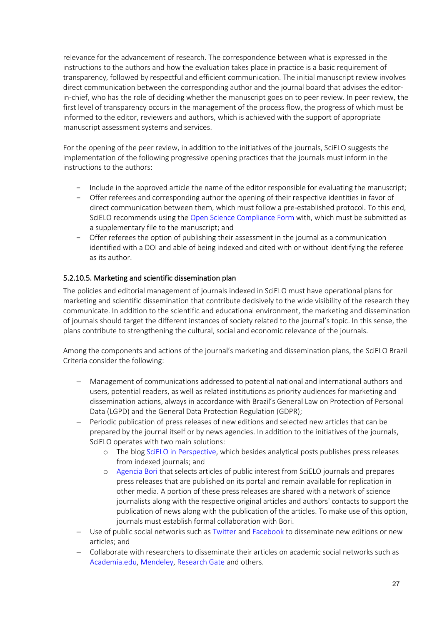relevance for the advancement of research. The correspondence between what is expressed in the instructions to the authors and how the evaluation takes place in practice is a basic requirement of transparency, followed by respectful and efficient communication. The initial manuscript review involves direct communication between the corresponding author and the journal board that advises the editorin-chief, who has the role of deciding whether the manuscript goes on to peer review. In peer review, the first level of transparency occurs in the management of the process flow, the progress of which must be informed to the editor, reviewers and authors, which is achieved with the support of appropriate manuscript assessment systems and services.

For the opening of the peer review, in addition to the initiatives of the journals, SciELO suggests the implementation of the following progressive opening practices that the journals must inform in the instructions to the authors:

- − Include in the approved article the name of the editor responsible for evaluating the manuscript;
- − Offer referees and corresponding author the opening of their respective identities in favor of direct communication between them, which must follow a pre-established protocol. To this end, SciELO recommends using th[e Open Science Compliance Form](https://wp.scielo.org/wp-content/uploads/Open-Science-Compliance-Form_en.docx) with, which must be submitted as a supplementary file to the manuscript; and
- − Offer referees the option of publishing their assessment in the journal as a communication identified with a DOI and able of being indexed and cited with or without identifying the referee as its author.

#### <span id="page-27-0"></span>5.2.10.5. Marketing and scientific dissemination plan

The policies and editorial management of journals indexed in SciELO must have operational plans for marketing and scientific dissemination that contribute decisively to the wide visibility of the research they communicate. In addition to the scientific and educational environment, the marketing and dissemination of journals should target the different instances of society related to the journal's topic. In this sense, the plans contribute to strengthening the cultural, social and economic relevance of the journals.

Among the components and actions of the journal's marketing and dissemination plans, the SciELO Brazil Criteria consider the following:

- − Management of communications addressed to potential national and international authors and users, potential readers, as well as related institutions as priority audiences for marketing and dissemination actions, always in accordance with Brazil's General Law on Protection of Personal Data (LGPD) and the General Data Protection Regulation (GDPR);
- Periodic publication of press releases of new editions and selected new articles that can be prepared by the journal itself or by news agencies. In addition to the initiatives of the journals, SciELO operates with two main solutions:
	- o The blo[g SciELO in Perspective,](https://blog.scielo.org/) which besides analytical posts publishes press releases from indexed journals; and
	- o [Agencia Bori](https://abori.com.br/) that selects articles of public interest from SciELO journals and prepares press releases that are published on its portal and remain available for replication in other media. A portion of these press releases are shared with a network of science journalists along with the respective original articles and authors' contacts to support the publication of news along with the publication of the articles. To make use of this option, journals must establish formal collaboration with Bori.
- − Use of public social networks such a[s Twitter](https://twitter.com/) and [Facebook](https://facebook.com/) to disseminate new editions or new articles; and
- − Collaborate with researchers to disseminate their articles on academic social networks such as [Academia.edu,](https://www.academia.edu/) [Mendeley,](https://www.mendeley.com/?interaction_required=true) [Research Gate](https://www.researchgate.net/) and others.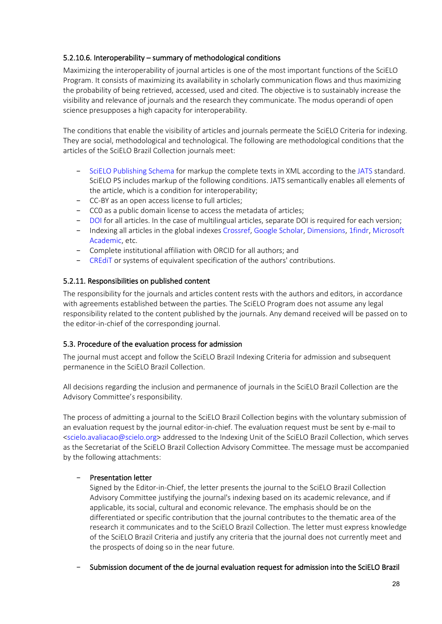### <span id="page-28-0"></span>5.2.10.6. Interoperability – summary of methodological conditions

Maximizing the interoperability of journal articles is one of the most important functions of the SciELO Program. It consists of maximizing its availability in scholarly communication flows and thus maximizing the probability of being retrieved, accessed, used and cited. The objective is to sustainably increase the visibility and relevance of journals and the research they communicate. The modus operandi of open science presupposes a high capacity for interoperability.

The conditions that enable the visibility of articles and journals permeate the SciELO Criteria for indexing. They are social, methodological and technological. The following are methodological conditions that the articles of the SciELO Brazil Collection journals meet:

- − [SciELO Publishing Schema](https://scielo.readthedocs.io/projects/scielo-publishing-schema/pt_BR/latest/) for markup the complete texts in XML according to th[e JATS](https://jats.nlm.nih.gov/publishing/tag-library/1.1/) standard. SciELO PS includes markup of the following conditions. JATS semantically enables all elements of the article, which is a condition for interoperability;
- − CC-BY as an open access license to full articles;
- − CC0 as a public domain license to access the metadata of articles;
- − [DOI](https://www.doi.org/) for all articles. In the case of multilingual articles, separate DOI is required for each version;
- − Indexing all articles in the global indexe[s Crossref,](https://www.crossref.org/) [Google Scholar,](https://scholar.google.com/citations?view_op=top_venues&hl=pt-BR) [Dimensions,](https://www.dimensions.ai/) [1findr,](https://1findr.1science.com/home) [Microsoft](https://academic.microsoft.com/)  [Academic,](https://academic.microsoft.com/) etc.
- − Complete institutional affiliation with ORCID for all authors; and
- − [CREdiT](https://casrai.org/credit/) or systems of equivalent specification of the authors' contributions.

#### <span id="page-28-1"></span>5.2.11. Responsibilities on published content

The responsibility for the journals and articles content rests with the authors and editors, in accordance with agreements established between the parties. The SciELO Program does not assume any legal responsibility related to the content published by the journals. Any demand received will be passed on to the editor-in-chief of the corresponding journal.

#### <span id="page-28-2"></span>5.3. Procedure of the evaluation process for admission

The journal must accept and follow the SciELO Brazil Indexing Criteria for admission and subsequent permanence in the SciELO Brazil Collection.

All decisions regarding the inclusion and permanence of journals in the SciELO Brazil Collection are the Advisory Committee's responsibility.

The process of admitting a journal to the SciELO Brazil Collection begins with the voluntary submission of an evaluation request by the journal editor-in-chief. The evaluation request must be sent by e-mail to <scielo.avaliacao@scielo.org> addressed to the Indexing Unit of the SciELO Brazil Collection, which serves as the Secretariat of the SciELO Brazil Collection Advisory Committee. The message must be accompanied by the following attachments:

#### − Presentation letter

Signed by the Editor-in-Chief, the letter presents the journal to the SciELO Brazil Collection Advisory Committee justifying the journal's indexing based on its academic relevance, and if applicable, its social, cultural and economic relevance. The emphasis should be on the differentiated or specific contribution that the journal contributes to the thematic area of the research it communicates and to the SciELO Brazil Collection. The letter must express knowledge of the SciELO Brazil Criteria and justify any criteria that the journal does not currently meet and the prospects of doing so in the near future.

#### − Submission document of the de journal evaluation request for admission into the SciELO Brazil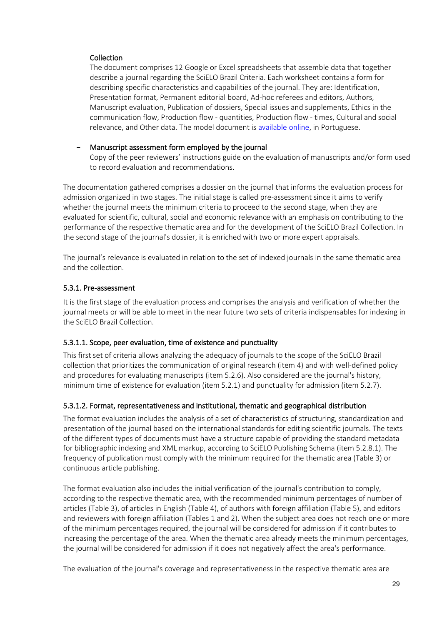#### **Collection**

The document comprises 12 Google or Excel spreadsheets that assemble data that together describe a journal regarding the SciELO Brazil Criteria. Each worksheet contains a form for describing specific characteristics and capabilities of the journal. They are: Identification, Presentation format, Permanent editorial board, Ad-hoc referees and editors, Authors, Manuscript evaluation, Publication of dossiers, Special issues and supplements, Ethics in the communication flow, Production flow - quantities, Production flow - times, Cultural and social relevance, and Other data. The model document is [available online,](https://wp.scielo.org/wp-content/uploads/20200500-Formulario-Submissao.xls) in Portuguese.

### − Manuscript assessment form employed by the journal

Copy of the peer reviewers' instructions guide on the evaluation of manuscripts and/or form used to record evaluation and recommendations.

The documentation gathered comprises a dossier on the journal that informs the evaluation process for admission organized in two stages. The initial stage is called pre-assessment since it aims to verify whether the journal meets the minimum criteria to proceed to the second stage, when they are evaluated for scientific, cultural, social and economic relevance with an emphasis on contributing to the performance of the respective thematic area and for the development of the SciELO Brazil Collection. In the second stage of the journal's dossier, it is enriched with two or more expert appraisals.

The journal's relevance is evaluated in relation to the set of indexed journals in the same thematic area and the collection.

# <span id="page-29-0"></span>5.3.1. Pre-assessment

It is the first stage of the evaluation process and comprises the analysis and verification of whether the journal meets or will be able to meet in the near future two sets of criteria indispensables for indexing in the SciELO Brazil Collection.

# <span id="page-29-1"></span>5.3.1.1. Scope, peer evaluation, time of existence and punctuality

This first set of criteria allows analyzing the adequacy of journals to the scope of the SciELO Brazil collection that prioritizes the communication of original research (item 4) and with well-defined policy and procedures for evaluating manuscripts (item 5.2.6). Also considered are the journal's history, minimum time of existence for evaluation (item 5.2.1) and punctuality for admission (item 5.2.7).

#### <span id="page-29-2"></span>5.3.1.2. Format, representativeness and institutional, thematic and geographical distribution

The format evaluation includes the analysis of a set of characteristics of structuring, standardization and presentation of the journal based on the international standards for editing scientific journals. The texts of the different types of documents must have a structure capable of providing the standard metadata for bibliographic indexing and XML markup, according to SciELO Publishing Schema (item 5.2.8.1). The frequency of publication must comply with the minimum required for the thematic area (Table 3) or continuous article publishing.

The format evaluation also includes the initial verification of the journal's contribution to comply, according to the respective thematic area, with the recommended minimum percentages of number of articles (Table 3), of articles in English (Table 4), of authors with foreign affiliation (Table 5), and editors and reviewers with foreign affiliation (Tables 1 and 2). When the subject area does not reach one or more of the minimum percentages required, the journal will be considered for admission if it contributes to increasing the percentage of the area. When the thematic area already meets the minimum percentages, the journal will be considered for admission if it does not negatively affect the area's performance.

The evaluation of the journal's coverage and representativeness in the respective thematic area are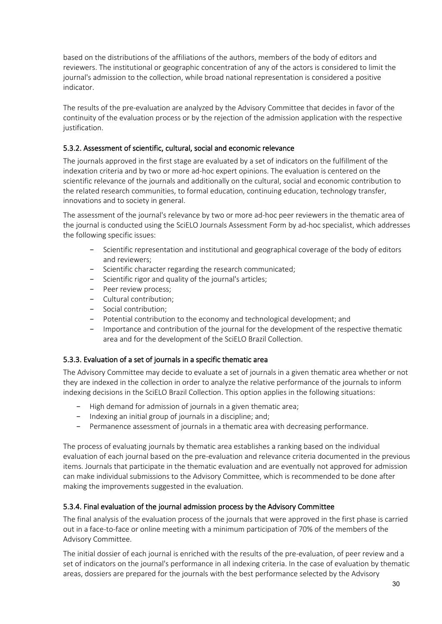based on the distributions of the affiliations of the authors, members of the body of editors and reviewers. The institutional or geographic concentration of any of the actors is considered to limit the journal's admission to the collection, while broad national representation is considered a positive indicator.

The results of the pre-evaluation are analyzed by the Advisory Committee that decides in favor of the continuity of the evaluation process or by the rejection of the admission application with the respective justification.

# <span id="page-30-0"></span>5.3.2. Assessment of scientific, cultural, social and economic relevance

The journals approved in the first stage are evaluated by a set of indicators on the fulfillment of the indexation criteria and by two or more ad-hoc expert opinions. The evaluation is centered on the scientific relevance of the journals and additionally on the cultural, social and economic contribution to the related research communities, to formal education, continuing education, technology transfer, innovations and to society in general.

The assessment of the journal's relevance by two or more ad-hoc peer reviewers in the thematic area of the journal is conducted using the SciELO Journals Assessment Form by ad-hoc specialist, which addresses the following specific issues:

- Scientific representation and institutional and geographical coverage of the body of editors and reviewers;
- − Scientific character regarding the research communicated;
- − Scientific rigor and quality of the journal's articles;
- − Peer review process;
- − Cultural contribution;
- − Social contribution;
- − Potential contribution to the economy and technological development; and
- − Importance and contribution of the journal for the development of the respective thematic area and for the development of the SciELO Brazil Collection.

# <span id="page-30-1"></span>5.3.3. Evaluation of a set of journals in a specific thematic area

The Advisory Committee may decide to evaluate a set of journals in a given thematic area whether or not they are indexed in the collection in order to analyze the relative performance of the journals to inform indexing decisions in the SciELO Brazil Collection. This option applies in the following situations:

- − High demand for admission of journals in a given thematic area;
- − Indexing an initial group of journals in a discipline; and;
- − Permanence assessment of journals in a thematic area with decreasing performance.

The process of evaluating journals by thematic area establishes a ranking based on the individual evaluation of each journal based on the pre-evaluation and relevance criteria documented in the previous items. Journals that participate in the thematic evaluation and are eventually not approved for admission can make individual submissions to the Advisory Committee, which is recommended to be done after making the improvements suggested in the evaluation.

# <span id="page-30-2"></span>5.3.4. Final evaluation of the journal admission process by the Advisory Committee

The final analysis of the evaluation process of the journals that were approved in the first phase is carried out in a face-to-face or online meeting with a minimum participation of 70% of the members of the Advisory Committee.

The initial dossier of each journal is enriched with the results of the pre-evaluation, of peer review and a set of indicators on the journal's performance in all indexing criteria. In the case of evaluation by thematic areas, dossiers are prepared for the journals with the best performance selected by the Advisory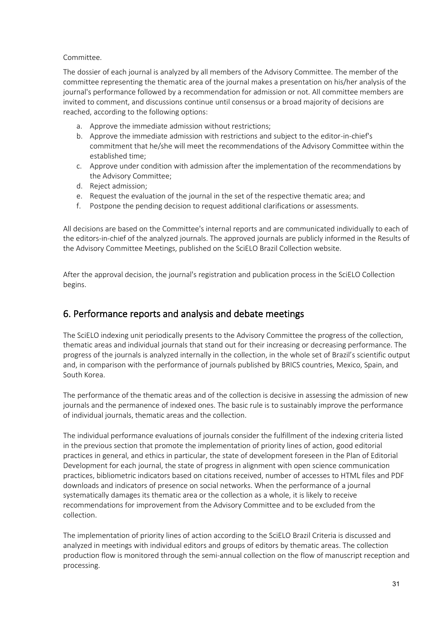#### Committee.

The dossier of each journal is analyzed by all members of the Advisory Committee. The member of the committee representing the thematic area of the journal makes a presentation on his/her analysis of the journal's performance followed by a recommendation for admission or not. All committee members are invited to comment, and discussions continue until consensus or a broad majority of decisions are reached, according to the following options:

- a. Approve the immediate admission without restrictions;
- b. Approve the immediate admission with restrictions and subject to the editor-in-chief's commitment that he/she will meet the recommendations of the Advisory Committee within the established time;
- c. Approve under condition with admission after the implementation of the recommendations by the Advisory Committee;
- d. Reject admission;
- e. Request the evaluation of the journal in the set of the respective thematic area; and
- f. Postpone the pending decision to request additional clarifications or assessments.

All decisions are based on the Committee's internal reports and are communicated individually to each of the editors-in-chief of the analyzed journals. The approved journals are publicly informed in the Results of the Advisory Committee Meetings, published on the SciELO Brazil Collection website.

After the approval decision, the journal's registration and publication process in the SciELO Collection begins.

# <span id="page-31-0"></span>6. Performance reports and analysis and debate meetings

The SciELO indexing unit periodically presents to the Advisory Committee the progress of the collection, thematic areas and individual journals that stand out for their increasing or decreasing performance. The progress of the journals is analyzed internally in the collection, in the whole set of Brazil's scientific output and, in comparison with the performance of journals published by BRICS countries, Mexico, Spain, and South Korea.

The performance of the thematic areas and of the collection is decisive in assessing the admission of new journals and the permanence of indexed ones. The basic rule is to sustainably improve the performance of individual journals, thematic areas and the collection.

The individual performance evaluations of journals consider the fulfillment of the indexing criteria listed in the previous section that promote the implementation of priority lines of action, good editorial practices in general, and ethics in particular, the state of development foreseen in the Plan of Editorial Development for each journal, the state of progress in alignment with open science communication practices, bibliometric indicators based on citations received, number of accesses to HTML files and PDF downloads and indicators of presence on social networks. When the performance of a journal systematically damages its thematic area or the collection as a whole, it is likely to receive recommendations for improvement from the Advisory Committee and to be excluded from the collection.

The implementation of priority lines of action according to the SciELO Brazil Criteria is discussed and analyzed in meetings with individual editors and groups of editors by thematic areas. The collection production flow is monitored through the semi-annual collection on the flow of manuscript reception and processing.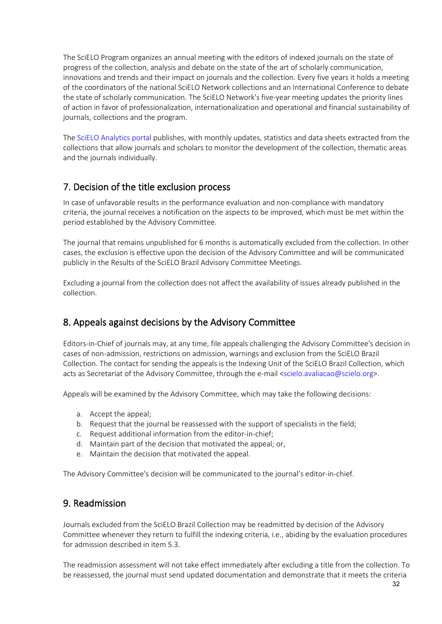The SciELO Program organizes an annual meeting with the editors of indexed journals on the state of progress of the collection, analysis and debate on the state of the art of scholarly communication, innovations and trends and their impact on journals and the collection. Every five years it holds a meeting of the coordinators of the national SciELO Network collections and an International Conference to debate the state of scholarly communication. The SciELO Network's five-year meeting updates the priority lines of action in favor of professionalization, internationalization and operational and financial sustainability of journals, collections and the program.

The [SciELO Analytics portal](https://analytics.scielo.org/) publishes, with monthly updates, statistics and data sheets extracted from the collections that allow journals and scholars to monitor the development of the collection, thematic areas and the journals individually.

# <span id="page-32-0"></span>7. Decision of the title exclusion process

In case of unfavorable results in the performance evaluation and non-compliance with mandatory criteria, the journal receives a notification on the aspects to be improved, which must be met within the period established by the Advisory Committee.

The journal that remains unpublished for 6 months is automatically excluded from the collection. In other cases, the exclusion is effective upon the decision of the Advisory Committee and will be communicated publicly in the Results of the SciELO Brazil Advisory Committee Meetings.

Excluding a journal from the collection does not affect the availability of issues already published in the collection.

# <span id="page-32-1"></span>8. Appeals against decisions by the Advisory Committee

Editors-in-Chief of journals may, at any time, file appeals challenging the Advisory Committee's decision in cases of non-admission, restrictions on admission, warnings and exclusion from the SciELO Brazil Collection. The contact for sending the appeals is the Indexing Unit of the SciELO Brazil Collection, which acts as Secretariat of the Advisory Committee, through the e-mail <scielo.avaliacao@scielo.org>.

Appeals will be examined by the Advisory Committee, which may take the following decisions:

- a. Accept the appeal;
- b. Request that the journal be reassessed with the support of specialists in the field;
- c. Request additional information from the editor-in-chief;
- d. Maintain part of the decision that motivated the appeal; or,
- e. Maintain the decision that motivated the appeal.

<span id="page-32-2"></span>The Advisory Committee's decision will be communicated to the journal's editor-in-chief.

# 9. Readmission

Journals excluded from the SciELO Brazil Collection may be readmitted by decision of the Advisory Committee whenever they return to fulfill the indexing criteria, i.e., abiding by the evaluation procedures for admission described in item 5.3.

The readmission assessment will not take effect immediately after excluding a title from the collection. To be reassessed, the journal must send updated documentation and demonstrate that it meets the criteria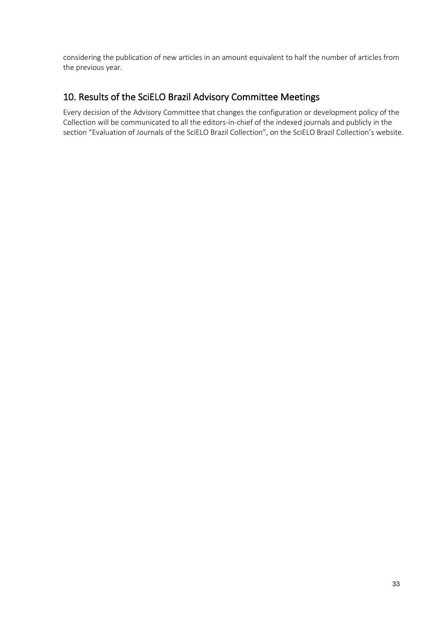considering the publication of new articles in an amount equivalent to half the number of articles from the previous year.

# <span id="page-33-0"></span>10. Results of the SciELO Brazil Advisory Committee Meetings

Every decision of the Advisory Committee that changes the configuration or development policy of the Collection will be communicated to all the editors-in-chief of the indexed journals and publicly in the section "Evaluation of Journals of the SciELO Brazil Collection", on the SciELO Brazil Collection's website.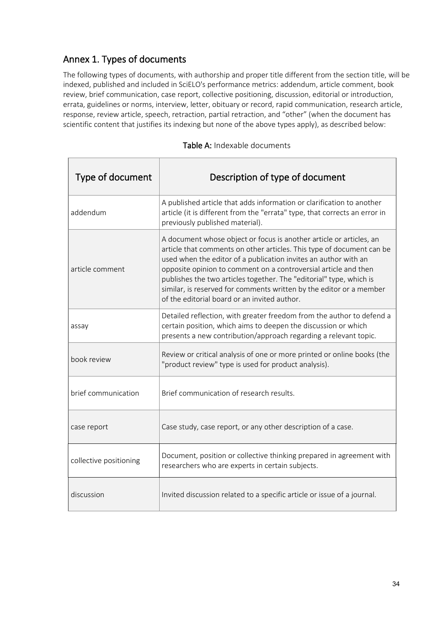# <span id="page-34-0"></span>Annex 1. Types of documents

The following types of documents, with authorship and proper title different from the section title, will be indexed, published and included in SciELO's performance metrics: addendum, article comment, book review, brief communication, case report, collective positioning, discussion, editorial or introduction, errata, guidelines or norms, interview, letter, obituary or record, rapid communication, research article, response, review article, speech, retraction, partial retraction, and "other" (when the document has scientific content that justifies its indexing but none of the above types apply), as described below:

<span id="page-34-1"></span>

| Type of document       | Description of type of document                                                                                                                                                                                                                                                                                                                                                                                                                                                  |
|------------------------|----------------------------------------------------------------------------------------------------------------------------------------------------------------------------------------------------------------------------------------------------------------------------------------------------------------------------------------------------------------------------------------------------------------------------------------------------------------------------------|
| addendum               | A published article that adds information or clarification to another<br>article (it is different from the "errata" type, that corrects an error in<br>previously published material).                                                                                                                                                                                                                                                                                           |
| article comment        | A document whose object or focus is another article or articles, an<br>article that comments on other articles. This type of document can be<br>used when the editor of a publication invites an author with an<br>opposite opinion to comment on a controversial article and then<br>publishes the two articles together. The "editorial" type, which is<br>similar, is reserved for comments written by the editor or a member<br>of the editorial board or an invited author. |
| assay                  | Detailed reflection, with greater freedom from the author to defend a<br>certain position, which aims to deepen the discussion or which<br>presents a new contribution/approach regarding a relevant topic.                                                                                                                                                                                                                                                                      |
| book review            | Review or critical analysis of one or more printed or online books (the<br>"product review" type is used for product analysis).                                                                                                                                                                                                                                                                                                                                                  |
| brief communication    | Brief communication of research results.                                                                                                                                                                                                                                                                                                                                                                                                                                         |
| case report            | Case study, case report, or any other description of a case.                                                                                                                                                                                                                                                                                                                                                                                                                     |
| collective positioning | Document, position or collective thinking prepared in agreement with<br>researchers who are experts in certain subjects.                                                                                                                                                                                                                                                                                                                                                         |
| discussion             | Invited discussion related to a specific article or issue of a journal.                                                                                                                                                                                                                                                                                                                                                                                                          |

Table A: Indexable documents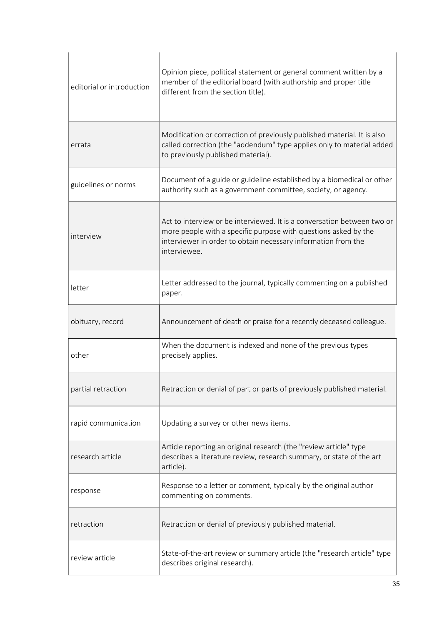| editorial or introduction | Opinion piece, political statement or general comment written by a<br>member of the editorial board (with authorship and proper title<br>different from the section title).                                                 |
|---------------------------|-----------------------------------------------------------------------------------------------------------------------------------------------------------------------------------------------------------------------------|
| errata                    | Modification or correction of previously published material. It is also<br>called correction (the "addendum" type applies only to material added<br>to previously published material).                                      |
| guidelines or norms       | Document of a guide or guideline established by a biomedical or other<br>authority such as a government committee, society, or agency.                                                                                      |
| interview                 | Act to interview or be interviewed. It is a conversation between two or<br>more people with a specific purpose with questions asked by the<br>interviewer in order to obtain necessary information from the<br>interviewee. |
| letter                    | Letter addressed to the journal, typically commenting on a published<br>paper.                                                                                                                                              |
| obituary, record          | Announcement of death or praise for a recently deceased colleague.                                                                                                                                                          |
| other                     | When the document is indexed and none of the previous types<br>precisely applies.                                                                                                                                           |
| partial retraction        | Retraction or denial of part or parts of previously published material.                                                                                                                                                     |
| rapid communication       | Updating a survey or other news items.                                                                                                                                                                                      |
| research article          | Article reporting an original research (the "review article" type<br>describes a literature review, research summary, or state of the art<br>article).                                                                      |
| response                  | Response to a letter or comment, typically by the original author<br>commenting on comments.                                                                                                                                |
| retraction                | Retraction or denial of previously published material.                                                                                                                                                                      |
| review article            | State-of-the-art review or summary article (the "research article" type<br>describes original research).                                                                                                                    |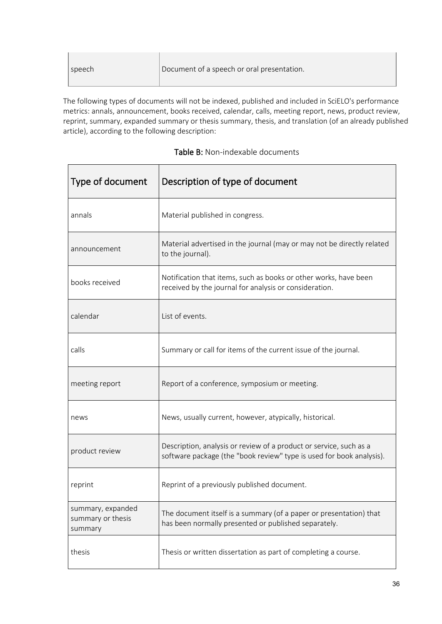| Document of a speech or oral presentation.<br>I speech |  |
|--------------------------------------------------------|--|
|--------------------------------------------------------|--|

The following types of documents will not be indexed, published and included in SciELO's performance metrics: annals, announcement, books received, calendar, calls, meeting report, news, product review, reprint, summary, expanded summary or thesis summary, thesis, and translation (of an already published article), according to the following description:

| Type of document                                  | Description of type of document                                                                                                            |  |  |
|---------------------------------------------------|--------------------------------------------------------------------------------------------------------------------------------------------|--|--|
| annals                                            | Material published in congress.                                                                                                            |  |  |
| announcement                                      | Material advertised in the journal (may or may not be directly related<br>to the journal).                                                 |  |  |
| books received                                    | Notification that items, such as books or other works, have been<br>received by the journal for analysis or consideration.                 |  |  |
| calendar                                          | List of events.                                                                                                                            |  |  |
| calls                                             | Summary or call for items of the current issue of the journal.                                                                             |  |  |
| meeting report                                    | Report of a conference, symposium or meeting.                                                                                              |  |  |
| news                                              | News, usually current, however, atypically, historical.                                                                                    |  |  |
| product review                                    | Description, analysis or review of a product or service, such as a<br>software package (the "book review" type is used for book analysis). |  |  |
| reprint                                           | Reprint of a previously published document.                                                                                                |  |  |
| summary, expanded<br>summary or thesis<br>summary | The document itself is a summary (of a paper or presentation) that<br>has been normally presented or published separately.                 |  |  |
| thesis                                            | Thesis or written dissertation as part of completing a course.                                                                             |  |  |

# <span id="page-36-0"></span>Table B: Non-indexable documents